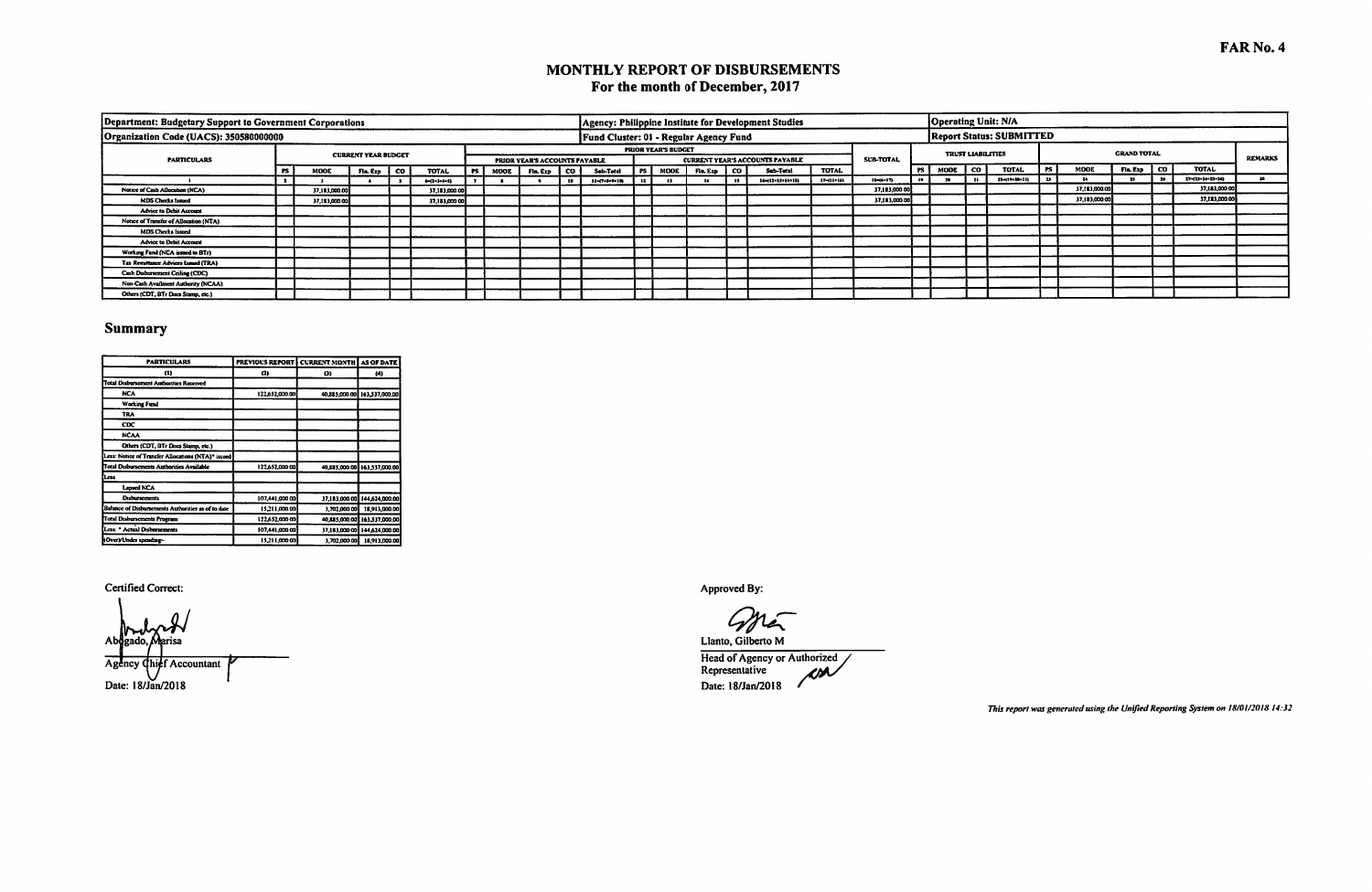### MONTHLY REPORT OF DISBURSEMENTS For the month of December, 2017

| Department: Budgetary Support to Government Corporations |     |               |                            |      |                       |     |      |                               |   |                                        |      |                            |          |      | Agency: Philippine Institute for Development Studies |                  |                  |                |           |                          | Operating Unit: N/A             |     |               |                    |                           |                |
|----------------------------------------------------------|-----|---------------|----------------------------|------|-----------------------|-----|------|-------------------------------|---|----------------------------------------|------|----------------------------|----------|------|------------------------------------------------------|------------------|------------------|----------------|-----------|--------------------------|---------------------------------|-----|---------------|--------------------|---------------------------|----------------|
| Organization Code (UACS): 350580000000                   |     |               |                            |      |                       |     |      |                               |   | Fund Cluster: 01 - Regular Agency Fund |      |                            |          |      |                                                      |                  |                  |                |           |                          | <b>Report Status: SUBMITTED</b> |     |               |                    |                           |                |
|                                                          |     |               | <b>CURRENT YEAR BUDGET</b> |      |                       |     |      |                               |   |                                        |      | <b>PRIOR YEAR'S BUDGET</b> |          |      |                                                      |                  |                  |                |           | <b>TRUST LIABILITIES</b> |                                 |     |               | <b>GRAND TOTAL</b> |                           | <b>REMARKS</b> |
| <b>PARTICULARS</b>                                       |     |               |                            |      |                       |     |      | PRIOR YEAR'S ACCOUNTS PAYABLE |   |                                        |      |                            |          |      | <b>CURRENT YEAR'S ACCOUNTS PAYABLE</b>               |                  | <b>SUB-TOTAL</b> |                |           |                          |                                 |     |               |                    | <b>TOTAL</b>              |                |
|                                                          | PS. | MODE          | Fin. Ezo                   | l co | <b>TOTAL</b>          | PS. | MOOL | Fia. Exp.   CO.               |   | Sub-Total                              | l PS | <b>MOOE</b>                | Fin. Exp | i co | Sub-Total                                            | <b>TOTAL</b>     |                  |                | PS   MOOE | ∣co                      | <b>TOTAL</b>                    | PS. | MODE          | Fin. Exp   CO      |                           |                |
|                                                          |     |               |                            |      | $1 - (2 + 1 + 4 + 5)$ |     |      |                               | æ | 11-07-0-9-100                          |      |                            |          |      | (6412-13-14-15)                                      | $17 - (11 + 16)$ | 12-15-17)        | $\blacksquare$ |           |                          | 21-11-10-21)                    | 23  |               |                    | $27 - 13 - 24 - 25 - 243$ |                |
| Notice of Cash Allocation (NCA)                          |     | 37,183,000.00 |                            |      | 37,183,000.00         |     |      |                               |   |                                        |      |                            |          |      |                                                      |                  | 37,183,000.00    |                |           |                          |                                 |     | 37,183,000.00 |                    | 37,183,000.00             |                |
| MDS Checks Issued                                        |     | 37,183,000.00 |                            |      | 37,183,000.00         |     |      |                               |   |                                        |      |                            |          |      |                                                      |                  | 37,183,000.00    |                |           |                          |                                 |     | 37,183,000.00 |                    | 37.183,000.00             |                |
| <b>Advice to Debit Account</b>                           |     |               |                            |      |                       |     |      |                               |   |                                        |      |                            |          |      |                                                      |                  |                  |                |           |                          |                                 |     |               |                    |                           |                |
| Notice of Transfer of Allocation (NTA)                   |     |               |                            |      |                       |     |      |                               |   |                                        |      |                            |          |      |                                                      |                  |                  |                |           |                          |                                 |     |               |                    |                           |                |
| <b>MDS Checks Issued</b>                                 |     |               |                            |      |                       |     |      |                               |   |                                        |      |                            |          |      |                                                      |                  |                  |                |           |                          |                                 |     |               |                    |                           |                |
| <b>Advice to Debit Account</b>                           |     |               |                            |      |                       |     |      |                               |   |                                        |      |                            |          |      |                                                      |                  |                  |                |           |                          |                                 |     |               |                    |                           |                |
| Working Fund (NCA issued to BTr)                         |     |               |                            |      |                       |     |      |                               |   |                                        |      |                            |          |      |                                                      |                  |                  |                |           |                          |                                 |     |               |                    |                           |                |
| Tax Remittance Advices Issued (TRA)                      |     |               |                            |      |                       |     |      |                               |   |                                        |      |                            |          |      |                                                      |                  |                  |                |           |                          |                                 |     |               |                    |                           |                |
| Cash Disbursement Ceiling (CDC)                          |     |               |                            |      |                       |     |      |                               |   |                                        |      |                            |          |      |                                                      |                  |                  |                |           |                          |                                 |     |               |                    |                           |                |
| Non-Cash Availment Authority (NCAA)                      |     |               |                            |      |                       |     |      |                               |   |                                        |      |                            |          |      |                                                      |                  |                  |                |           |                          |                                 |     |               |                    |                           |                |
| Others (CDT, BTr Does Stamp, etc.)                       |     |               |                            |      |                       |     |      |                               |   |                                        |      |                            |          |      |                                                      |                  |                  |                |           |                          |                                 |     |               |                    |                           |                |

### **Summary**

| <b>PARTICULARS</b>                                 | <b>PREVIOUS REPORT</b> | <b>CURRENT MONTH</b> | <b>AS OF DATE</b>            |
|----------------------------------------------------|------------------------|----------------------|------------------------------|
| a)                                                 | œ,                     | Ø)                   | $\left(4\right)$             |
| <b>Total Disbursement Authorities Received</b>     |                        |                      |                              |
| <b>NCA</b>                                         | 122.652.000.00         |                      | 40.885,000.00 163,537,000.00 |
| <b>Working Fund</b>                                |                        |                      |                              |
| <b>TRA</b>                                         |                        |                      |                              |
| <b>CDC</b>                                         |                        |                      |                              |
| <b>NCAA</b>                                        |                        |                      |                              |
| Others (CDT, BTr Docs Stamp, etc.)                 |                        |                      |                              |
| Less: Notice of Transfer Allocations (NTA)* issued |                        |                      |                              |
| <b>Total Disbursements Authorities Available</b>   | 122,652,000.00         |                      | 40,885,000.00 163,537,000.00 |
| Less                                               |                        |                      |                              |
| Lapsed NCA                                         |                        |                      |                              |
| <b>Disbursements</b>                               | 107.441,000.00         | 37,183,000.00        | 144,624,000.00               |
| Balance of Disbursements Authorities as of to date | 15.211.000.00          | 3,702,000.00         | 18.913.000.00                |
| <b>Total Disbursements Program</b>                 | 122,652,000.00         | 40.885,000.00        | 163,537,000.00               |
| Less: * Actual Disbursements                       | 107,441,000.00         | 37,183,000.00        | 144,624,000.00               |
| (Over)/Under spending-                             | 15.211.000.00          | 1.702.000.00         | 18.913.000.00                |

#### Certified Correct:

Ab risa Agency ief Accountant Date: 18/Jan/2018

Approved By:

 $\mathscr{V}_t$ Llanto, Gilberto M

Head of Agency or Authorized<br>Representative  $\mu$ Date: 18/Jan/2018

This report was generated using the Unified Reporting System on 18/01/2018 14:32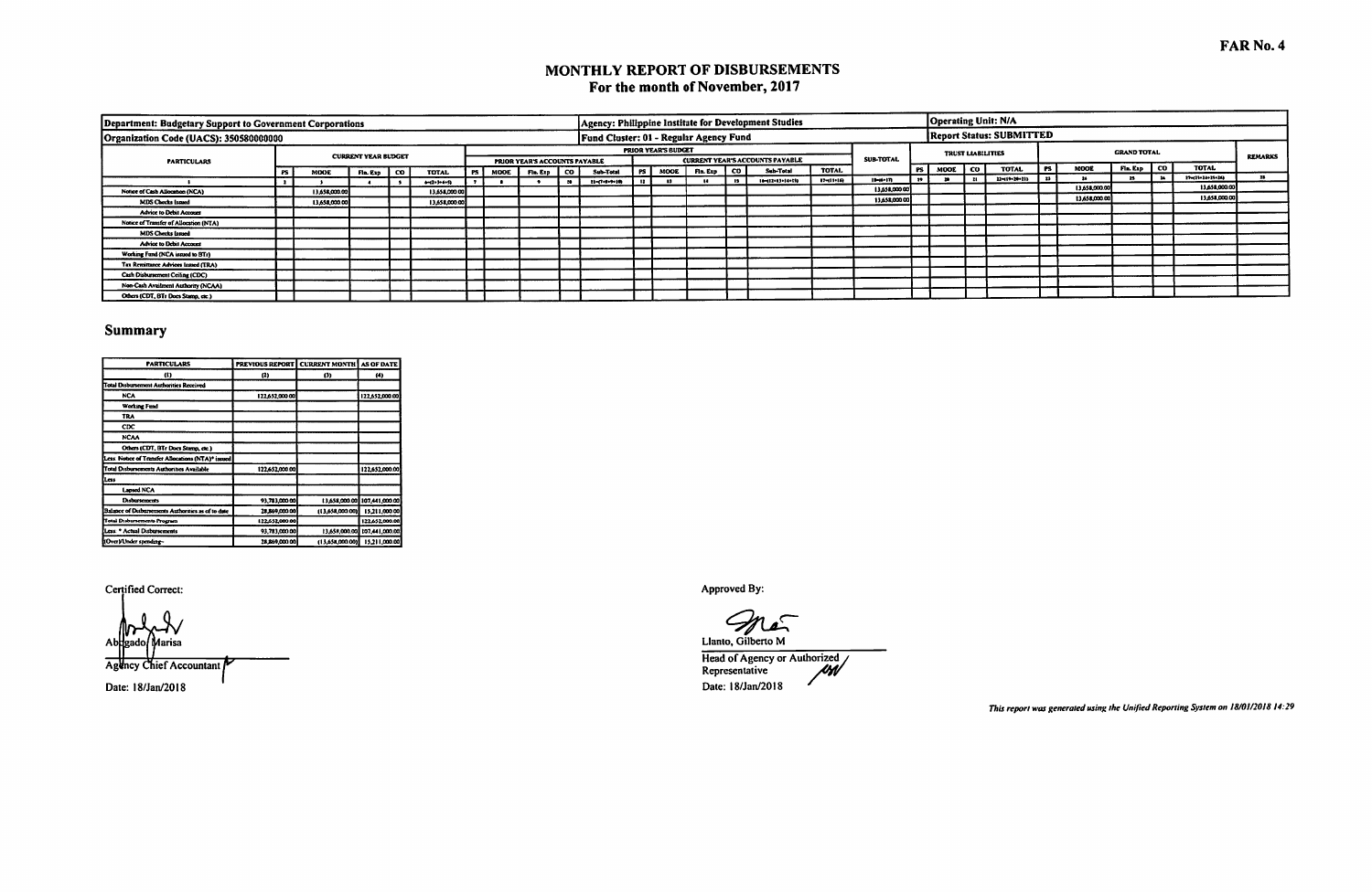## MONTHLY REPORT OF DISBURSEMENTS For the month of November, 2017

| Department: Budgetary Support to Government Corporations |     |               |                            |      |                    |      |                               |              |                                        |           |                            |             |              | Agency: Philippine Institute for Development Studies |            |                  |           |      |                          | <b>Operating Unit: N/A</b>      |           |               |                    |                  |                |
|----------------------------------------------------------|-----|---------------|----------------------------|------|--------------------|------|-------------------------------|--------------|----------------------------------------|-----------|----------------------------|-------------|--------------|------------------------------------------------------|------------|------------------|-----------|------|--------------------------|---------------------------------|-----------|---------------|--------------------|------------------|----------------|
| Organization Code (UACS): 350580000000                   |     |               |                            |      |                    |      |                               |              | Fund Cluster: 01 - Regular Agency Fund |           |                            |             |              |                                                      |            |                  |           |      |                          | <b>Report Status: SUBMITTED</b> |           |               |                    |                  |                |
|                                                          |     |               | <b>CURRENT YEAR BUDGET</b> |      |                    |      |                               |              |                                        |           | <b>PRIOR YEAR'S BUDGET</b> |             |              |                                                      |            |                  |           |      | <b>TRUST LIABILITIES</b> |                                 |           |               | <b>GRAND TOTAL</b> |                  | <b>REMARKS</b> |
| <b>PARTICULARS</b>                                       |     |               |                            |      |                    |      | PRIOR YEAR'S ACCOUNTS PAYABLE |              |                                        |           |                            |             |              | <b>CURRENT YEAR'S ACCOUNTS PAYABLE</b>               |            | <b>SUB-TOTAL</b> |           |      |                          |                                 |           |               |                    |                  |                |
|                                                          | PS. | MODE          | Fin. Exp                   | l co | TOTAL              | PS I | MODE Fin. Exp CO              |              | Sub-Total                              |           | <b>PS</b> MOOE             | Fia. Exp. 1 | co.          | Sub-Total                                            | TOTAL      |                  | l PS I    | MOOL | l co                     | <b>TOTAL</b>                    | <b>PS</b> | <b>MOOL</b>   | Fin. Exp   CO      | <b>TOTAL</b>     |                |
|                                                          |     |               |                            |      | $-11 - 3 - 4 - 53$ |      |                               | $\mathbf{r}$ | $11 - (7 + 8 + 9 + 10)$                | $\bullet$ | $\mathbf{a}$               |             | $\mathbf{B}$ | 16-112-13-14-15)                                     | 17-111-16) | 19-00-171        | $\bullet$ |      |                          | 22-11-120-21)                   |           |               |                    | 27-(11-14-25-26) |                |
| Notice of Cash Allocation (NCA)                          |     | 13,658,000.00 |                            |      | 13,658,000.00      |      |                               |              |                                        |           |                            |             |              |                                                      |            | 13,658,000.00    |           |      |                          |                                 |           | 13,658,000.0  |                    | 13,658,000.00    |                |
| MDS Checks Issued                                        |     | 13,658,000.00 |                            |      | 13,658,000.00      |      |                               |              |                                        |           |                            |             |              |                                                      |            | 13,658,000.00    |           |      |                          |                                 |           | 13,658,000.00 |                    | 13,658,000.00    |                |
| <b>Advice to Debit Account</b>                           |     |               |                            |      |                    |      |                               |              |                                        |           |                            |             |              |                                                      |            |                  |           |      |                          |                                 |           |               |                    |                  |                |
|                                                          |     |               |                            |      |                    |      |                               |              |                                        |           |                            |             |              |                                                      |            |                  |           |      |                          |                                 |           |               |                    |                  |                |
| Notice of Transfer of Allocation (NTA)                   |     |               |                            |      |                    |      |                               |              |                                        |           |                            |             |              |                                                      |            |                  |           |      |                          |                                 |           |               |                    |                  |                |
| <b>MDS Checks Issued</b>                                 |     |               |                            |      |                    |      |                               |              |                                        |           |                            |             |              |                                                      |            |                  |           |      |                          |                                 |           |               |                    |                  |                |
| <b>Advice to Debit Account</b>                           |     |               |                            |      |                    |      |                               |              |                                        |           |                            |             |              |                                                      |            |                  |           |      |                          |                                 |           |               |                    |                  |                |
| Working Fund (NCA issued to BTr)                         |     |               |                            |      |                    |      |                               |              |                                        |           |                            |             |              |                                                      |            |                  |           |      |                          |                                 |           |               |                    |                  |                |
| Tax Remittance Advices Issued (TRA)                      |     |               |                            |      |                    |      |                               |              |                                        |           |                            |             |              |                                                      |            |                  |           |      |                          |                                 |           |               |                    |                  |                |
| Cash Disbursement Ceiling (CDC)                          |     |               |                            |      |                    |      |                               |              |                                        |           |                            |             |              |                                                      |            |                  |           |      |                          |                                 |           |               |                    |                  |                |
| Non-Cash Availment Authority (NCAA)                      |     |               |                            |      |                    |      |                               |              |                                        |           |                            |             |              |                                                      |            |                  |           |      |                          |                                 |           |               |                    |                  |                |
| Others (CDT, BTr Does Stamp, etc.)                       |     |               |                            |      |                    |      |                               |              |                                        |           |                            |             |              |                                                      |            |                  |           |      |                          |                                 |           |               |                    |                  |                |

### **Summary**

| <b>PARTICULARS</b>                                 |                | PREVIOUS REPORT CURRENT MONTH AS OF DATE |                              |
|----------------------------------------------------|----------------|------------------------------------------|------------------------------|
| w                                                  | (2)            | ß)                                       | (4)                          |
| <b>Total Disbursement Authorities Received</b>     |                |                                          |                              |
| <b>NCA</b>                                         | 122,652,000.00 |                                          | 122.652.000.00               |
| <b>Working Fund</b>                                |                |                                          |                              |
| <b>TRA</b>                                         |                |                                          |                              |
| $_{\rm{cpc}}$                                      |                |                                          |                              |
| <b>NCAA</b>                                        |                |                                          |                              |
| Others (CDT, BTr Does Stamp, etc.)                 |                |                                          |                              |
| Less: Notice of Transfer Allocations (NTA)* issued |                |                                          |                              |
| <b>Total Disbursements Authorities Available</b>   | 122,652,000.00 |                                          | 122,652,000.00               |
| Less                                               |                |                                          |                              |
| Laosed NCA                                         |                |                                          |                              |
| Determine                                          | 93.783.000.00  |                                          | 13.658.000.00 107.441.000.00 |
| Balance of Disbursements Authorities as of to date | 28.869.000.00  | (13,658,000.00)                          | 15,211,000.00                |
| Total Disbursements Program                        | 122,652,000.00 |                                          | 122.652.000.00               |
| Less: * Actual Disbursements                       | 93,783,000.00  | 13.658,000.00                            | 107.441.000.00               |
| HOverVUnder spending-                              | 28.869.000.00  | (13.658,000.00)                          | 15.211,000.00                |

Certified Correct:

Ab larisa Agency Chief Accountant Date: 18/Jan/2018

Approved By:

Llanto, Gilberto M

Head of Agency or Authorized<br>Representative Date: 18/Jan/2018

This report was generated using the Unified Reporting System on 18/01/2018 14:29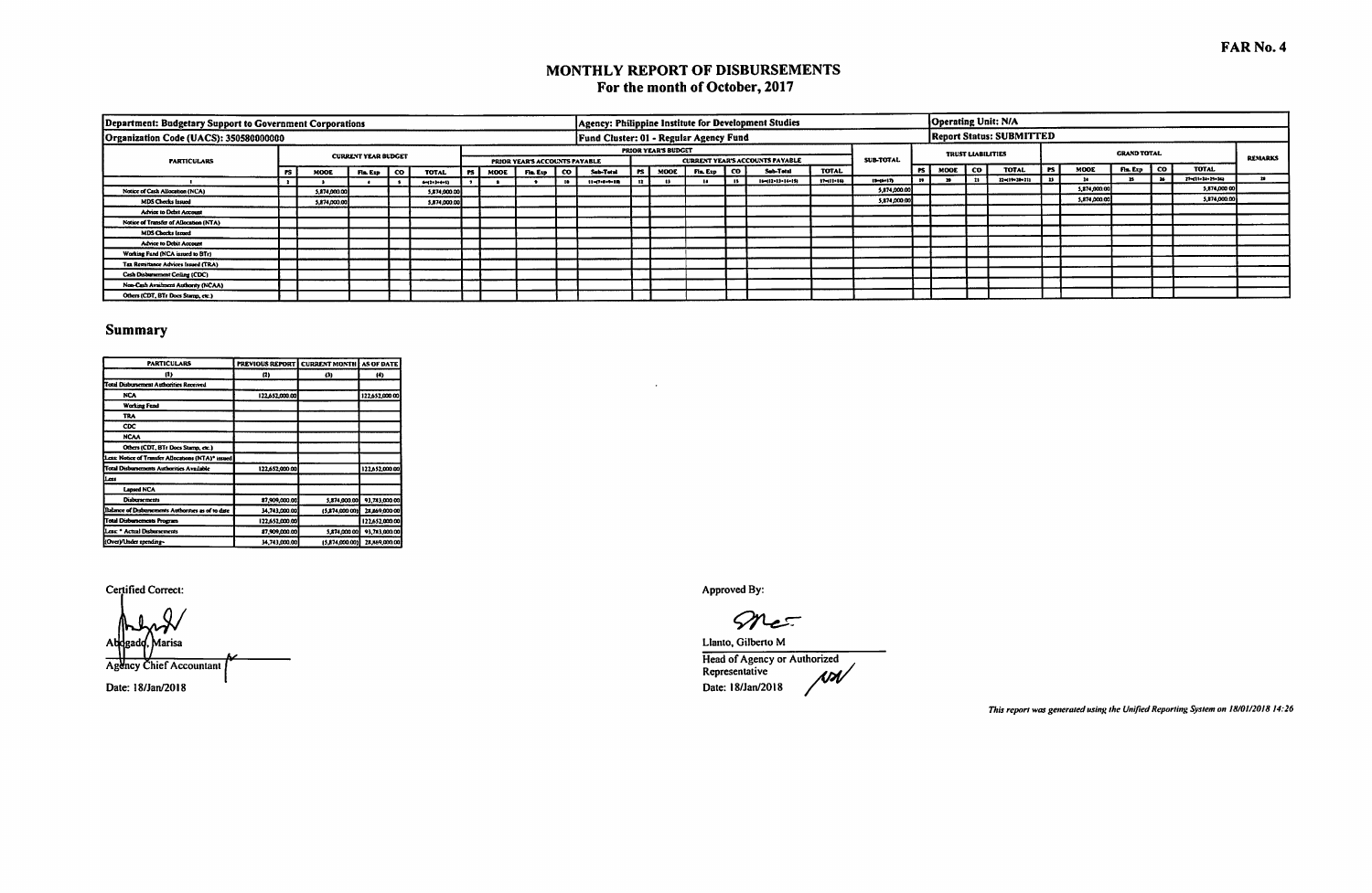# MONTHLY REPORT OF DISBURSEMENTS For the month of October, 2017

| Department: Budgetary Support to Government Corporations |      |              |                            |                       |           |      |                                                |                                        |      |                            |          |     | Agency: Philippine Institute for Development Studies |              |                  |    | Operating Unit: N/A      |      |                                 |      |              |                    |          |                  |                |
|----------------------------------------------------------|------|--------------|----------------------------|-----------------------|-----------|------|------------------------------------------------|----------------------------------------|------|----------------------------|----------|-----|------------------------------------------------------|--------------|------------------|----|--------------------------|------|---------------------------------|------|--------------|--------------------|----------|------------------|----------------|
| Organization Code (UACS): 350580000000                   |      |              |                            |                       |           |      |                                                | Fund Cluster: 01 - Regular Agency Fund |      |                            |          |     |                                                      |              |                  |    |                          |      | <b>Report Status: SUBMITTED</b> |      |              |                    |          |                  |                |
|                                                          |      |              | <b>CURRENT YEAR BUDGET</b> |                       |           |      |                                                |                                        |      | <b>PRIOR YEAR'S BUDGET</b> |          |     |                                                      |              | <b>SUB-TOTAL</b> |    | <b>TRUST LIABILITIES</b> |      |                                 |      |              | <b>GRAND TOTAL</b> |          |                  | <b>REMARKS</b> |
| <b>PARTICULARS</b>                                       |      |              |                            | <b>TOTAL</b>          | <b>PS</b> | MODE | PRIOR YEAR'S ACCOUNTS PAYABLE<br>Fin. Exp   CO | Sub-Total                              | rs I | MOOE                       | Fia. Exp | CO. | <b>CURRENT YEAR'S ACCOUNTS PAYABLE</b><br>Sub-Total  | <b>TOTAL</b> |                  |    | I PS   MOOE              | l co | <b>TOTAL</b>                    | l PS | MODE         | Fla. Exp   CO      |          | <b>TOTAL</b>     |                |
|                                                          | rs I | MODE         | Fla. Exp   CO              | $4 - (2 + 3 + 4 + 5)$ |           |      |                                                | $11 - 7 + 8 + 9 + 10$                  |      |                            |          |     | $16 - (12 - 13 - 14 - 15)$                           | 17-111-14)   | $13 - 14 - 17$   | 19 |                          |      | 22-(19-28-21)                   |      |              |                    | - 24 - 1 | 27-221-24-25-24) |                |
| Notice of Cash Allocation (NCA)                          |      | 5.874,000,00 |                            | 5,874,000.00          |           |      |                                                |                                        |      |                            |          |     |                                                      |              | 5,874,000.00     |    |                          |      |                                 |      | 5,874,000.00 |                    |          | 5,874,000.00     |                |
| <b>MDS Checks Issued</b>                                 |      | 5,874,000.00 |                            | \$,874,000.00         |           |      |                                                |                                        |      |                            |          |     |                                                      |              | 5,874,000.00     |    |                          |      |                                 |      | 5,874,000.00 |                    |          | 5,874,000.00     |                |
| <b>Advice to Debit Account</b>                           |      |              |                            |                       |           |      |                                                |                                        |      |                            |          |     |                                                      |              |                  |    |                          |      |                                 |      |              |                    |          |                  |                |
| Notice of Transfer of Allocation (NTA)                   |      |              |                            |                       |           |      |                                                |                                        |      |                            |          |     |                                                      |              |                  |    |                          |      |                                 |      |              |                    |          |                  |                |
| MDS Checks Issued                                        |      |              |                            |                       |           |      |                                                |                                        |      |                            |          |     |                                                      |              |                  |    |                          |      |                                 |      |              |                    |          |                  |                |
| <b>Advice to Debit Account</b>                           |      |              |                            |                       |           |      |                                                |                                        |      |                            |          |     |                                                      |              |                  |    |                          |      |                                 |      |              |                    |          |                  |                |
| Working Fund (NCA issued to BTr)                         |      |              |                            |                       |           |      |                                                |                                        |      |                            |          |     |                                                      |              |                  |    |                          |      |                                 |      |              |                    |          |                  |                |
| Tax Remittance Advices Issued (TRA)                      |      |              |                            |                       |           |      |                                                |                                        |      |                            |          |     |                                                      |              |                  |    |                          |      |                                 |      |              |                    |          |                  |                |
| Cash Disbursement Ceiling (CDC)                          |      |              |                            |                       |           |      |                                                |                                        |      |                            |          |     |                                                      |              |                  |    |                          |      |                                 |      |              |                    |          |                  |                |
| Non-Cash Availment Authority (NCAA)                      |      |              |                            |                       |           |      |                                                |                                        |      |                            |          |     |                                                      |              |                  |    |                          |      |                                 |      |              |                    |          |                  |                |
| Others (CDT, BTr Does Stamp, etc.)                       |      |              |                            |                       |           |      |                                                |                                        |      |                            |          |     |                                                      |              |                  |    |                          |      |                                 |      |              |                    |          |                  |                |

 $\sim$ 

### Summary

| <b>PARTICULARS</b>                                 | <b>PREVIOUS REPORT   CURRENT MONTH</b> |                | <b>AS OF DATE</b> |
|----------------------------------------------------|----------------------------------------|----------------|-------------------|
| 11)                                                | (2)                                    | Ø)             | (4)               |
| Total Disbursement Authorities Received            |                                        |                |                   |
| <b>NCA</b>                                         | 122,652,000.00                         |                | 122,652,000.00    |
| <b>Working Fund</b>                                |                                        |                |                   |
| TRA                                                |                                        |                |                   |
| CDC                                                |                                        |                |                   |
| <b>NCAA</b>                                        |                                        |                |                   |
| Others (CDT, BTr Does Stamp, etc.)                 |                                        |                |                   |
| Less: Notice of Transfer Allocations (NTA)* issued |                                        |                |                   |
| <b>Total Disbursements Authorities Available</b>   | 122,652,000.00                         |                | 122.652,000.00    |
| معما                                               |                                        |                |                   |
| <b>Lansed NCA</b>                                  |                                        |                |                   |
| <b>Disbursements</b>                               | 87,909,000.00                          | 5,874,000.00   | 93,783,000.00     |
| Balance of Disbursements Authorities as of to date | 34,743,000.00                          | (5,874,000.00) | 28,869,000.00     |
| Total Disbursements Program                        | 122,652,000.00                         |                | 122.652.000.00    |
| Less: * Actual Disbursements                       | 87,909,000.00                          | 5,874,000.00   | 93,783,000.00     |
| I(Over)/Under spending~                            | 34,743,000.00                          | (5.874,000.00) | 28.869.000.00     |

#### Certified Correct:

Marisa **Agency Chief Accountant** Date: 18/Jan/2018

Approved By:

mer

Llanto, Gilberto M Head of Agency or Authorized<br>Representative AD Nd Date: 18/Jan/2018

This report was generated using the Unified Reporting System on 18/01/2018 14:26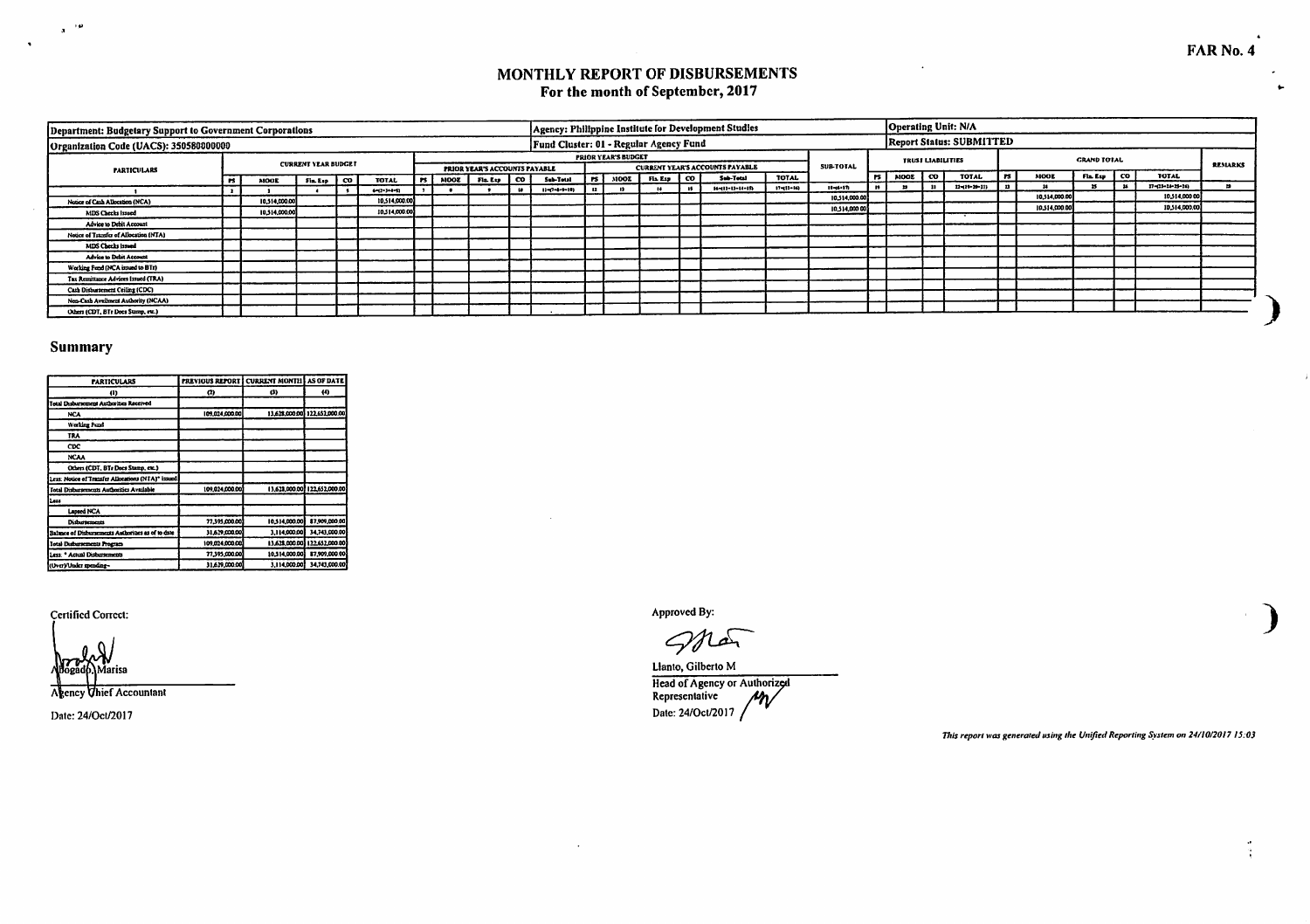## MONTHLY REPORT OF DISBURSEMENTS For the month of September, 2017

| Department: Budgetary Support to Government Corporations |               |                            |                       |      |        |                                                    |     |                                        |               |                            |              |      | Agency: Philippine Institute for Development Studies |                 |                  |                 |                          | Operating Unit: N/A             |              |               |                    |                  |                |
|----------------------------------------------------------|---------------|----------------------------|-----------------------|------|--------|----------------------------------------------------|-----|----------------------------------------|---------------|----------------------------|--------------|------|------------------------------------------------------|-----------------|------------------|-----------------|--------------------------|---------------------------------|--------------|---------------|--------------------|------------------|----------------|
| Organization Code (UACS): 350580000000                   |               |                            |                       |      |        |                                                    |     | Fund Cluster: 01 - Regular Agency Fund |               |                            |              |      |                                                      |                 |                  |                 |                          | <b>Report Status: SUBMITTED</b> |              |               |                    |                  |                |
|                                                          |               | <b>CURRENT YEAR BUDGET</b> |                       |      |        |                                                    |     |                                        |               | <b>PRIOR YEAR'S BUDGET</b> |              |      | <b>CURRENT YEAR'S ACCOUNTS PAYABLE</b>               |                 | <b>SUB-TOTAL</b> |                 | <b>TRUST LIABILITIES</b> |                                 |              |               | <b>GRAND TOTAL</b> |                  | <b>REMARKS</b> |
| <b>PARTICULARS</b>                                       | <b>MOOE</b>   | $Fix Lip$ $CO$             | TOTAL.                | in L | NOOE I | PRIOR YEAR'S ACCOUNTS PAYABLE<br>$F = L_V \mid CO$ |     | Sub-Total                              | <b>INI</b>    | MOOL                       | $FLS22$ $CO$ |      | Sub-Total                                            | TOTAL           |                  | !rs   моов   со |                          | <b>TOTAL</b>                    | 15           | <b>MOOR</b>   | $FLEup$ $CO$       | <b>TOTAL</b>     |                |
|                                                          |               |                            | $4 - (2 - 3 - 4 - 5)$ |      |        |                                                    | . 1 | $13 = 7 - 8 - 9 - 18$                  | $\mathbf{12}$ |                            |              | - 44 | $H = 11 - 11 - 14 - 15$                              | $17 - 11 - 163$ | $11 - 6 - 17$    |                 |                          | $12 - (19 - 29 - 11)$           | $\mathbf{r}$ |               |                    | 17-(13-24-25-26) |                |
| Notice of Cash Allocation (NCA)                          | 10.314,000.00 |                            | 10.514,000.00         |      |        |                                                    |     |                                        |               |                            |              |      |                                                      |                 | 10.514.000.00    |                 |                          |                                 |              | 10.514,000.00 |                    | 10,514,000.00    |                |
| <b>MDS Checks Issued</b>                                 | 10.514,000.00 |                            | 10.514,000.00         |      |        |                                                    |     |                                        |               |                            |              |      |                                                      |                 | 10,514,000.00    |                 |                          |                                 |              | 10.514,000.00 |                    | 10,514,000.00    |                |
| Advice to Debit Account                                  |               |                            |                       |      |        |                                                    |     |                                        |               |                            |              |      |                                                      |                 |                  |                 |                          |                                 |              |               |                    |                  |                |
| Notice of Transfer of Allocation (NTA)                   |               |                            |                       |      |        |                                                    |     |                                        |               |                            |              |      |                                                      |                 |                  |                 |                          |                                 |              |               |                    |                  |                |
| MDS Checks issued                                        |               |                            |                       |      |        |                                                    |     |                                        |               |                            |              |      |                                                      |                 |                  |                 |                          |                                 |              |               |                    |                  |                |
| Advice to Debit Account                                  |               |                            |                       |      |        |                                                    |     |                                        |               |                            |              |      |                                                      |                 |                  |                 |                          |                                 |              |               |                    |                  |                |
| Working Fund (NCA issued to BTr)                         |               |                            |                       |      |        |                                                    |     |                                        |               |                            |              |      |                                                      |                 |                  |                 |                          |                                 |              |               |                    |                  |                |
| Tax Remittance Advices Issued (TRA)                      |               |                            |                       |      |        |                                                    |     |                                        |               |                            |              |      |                                                      |                 |                  |                 |                          |                                 |              |               |                    |                  |                |
| Cash Disbursement Ceiling (CDC)                          |               |                            |                       |      |        |                                                    |     |                                        |               |                            |              |      |                                                      |                 |                  |                 |                          |                                 |              |               |                    |                  |                |
| Non-Cash Availment Authority (NCAA)                      |               |                            |                       |      |        |                                                    |     |                                        |               |                            |              |      |                                                      |                 |                  |                 |                          |                                 |              |               |                    |                  |                |
| Others (CDT, BTr Does Stamp, rtc.)                       |               |                            |                       |      |        |                                                    |     |                                        |               |                            |              |      |                                                      |                 |                  |                 |                          |                                 |              |               |                    |                  |                |

### **Summary**

 $\mathbf{a}^{(i)}$ 

 $\sim$ 

| <b>PARTICULARS</b>                                 | PREVIOUS REPORT I CURRENT MONTH AS OF DATE |               |                               |
|----------------------------------------------------|--------------------------------------------|---------------|-------------------------------|
| 41)                                                | œ                                          | o             | (4)                           |
| Total Dubursement Authorities Received             |                                            |               |                               |
| <b>NCA</b>                                         | 109.024.000.00                             |               | 13.628.000.00 122.652.000.00  |
| <b>Working Fund</b>                                |                                            |               |                               |
| <b>TRA</b>                                         |                                            |               |                               |
| CDC                                                |                                            |               |                               |
| <b>NCAA</b>                                        |                                            |               |                               |
| Others (CDT, BTs Docs Stamp, etc.)                 |                                            |               |                               |
| Less: Notice of Transfer Allocations (NTA)* issued |                                            |               |                               |
| Total Disburrements Authorities Available          | 109,024,000.00                             |               | 13.623.000.00 122.652.000.00  |
| Less                                               |                                            |               |                               |
| Lapsed NCA                                         |                                            |               |                               |
| Disburrements                                      | 77.395.000.00                              | 10.514.000.00 | \$7,909,000.00                |
| Balance of Dishursements Authorities as of to date | 31.629.000.00                              | 3.114.000.00  | 34.743,000.00                 |
| <b>Iotal Disbursements Program</b>                 | 109.024,000.00                             |               | 13.628.000.00} 122.652.000.00 |
| Less: * Actual Disbursements                       | 77.395.000.00                              | 10.514.000.00 | 87,909,000.00                 |
| (Over)/Under spending-                             | 31.629,000.00                              | 3.114.000.00  | 34.743,000.00                 |

**Certified Correct:** 

Àarisa

Agency Thief Accountant

Date: 24/Oct/2017

Approved By:

 $\ddot{\phantom{a}}$ 

gna

Llanto, Gilberto M Head of Agency or Authorized<br>Representative<br>Date: 24/Oct/2017

This report was generated using the Unified Reporting System on 24/10/2017 15:03

÷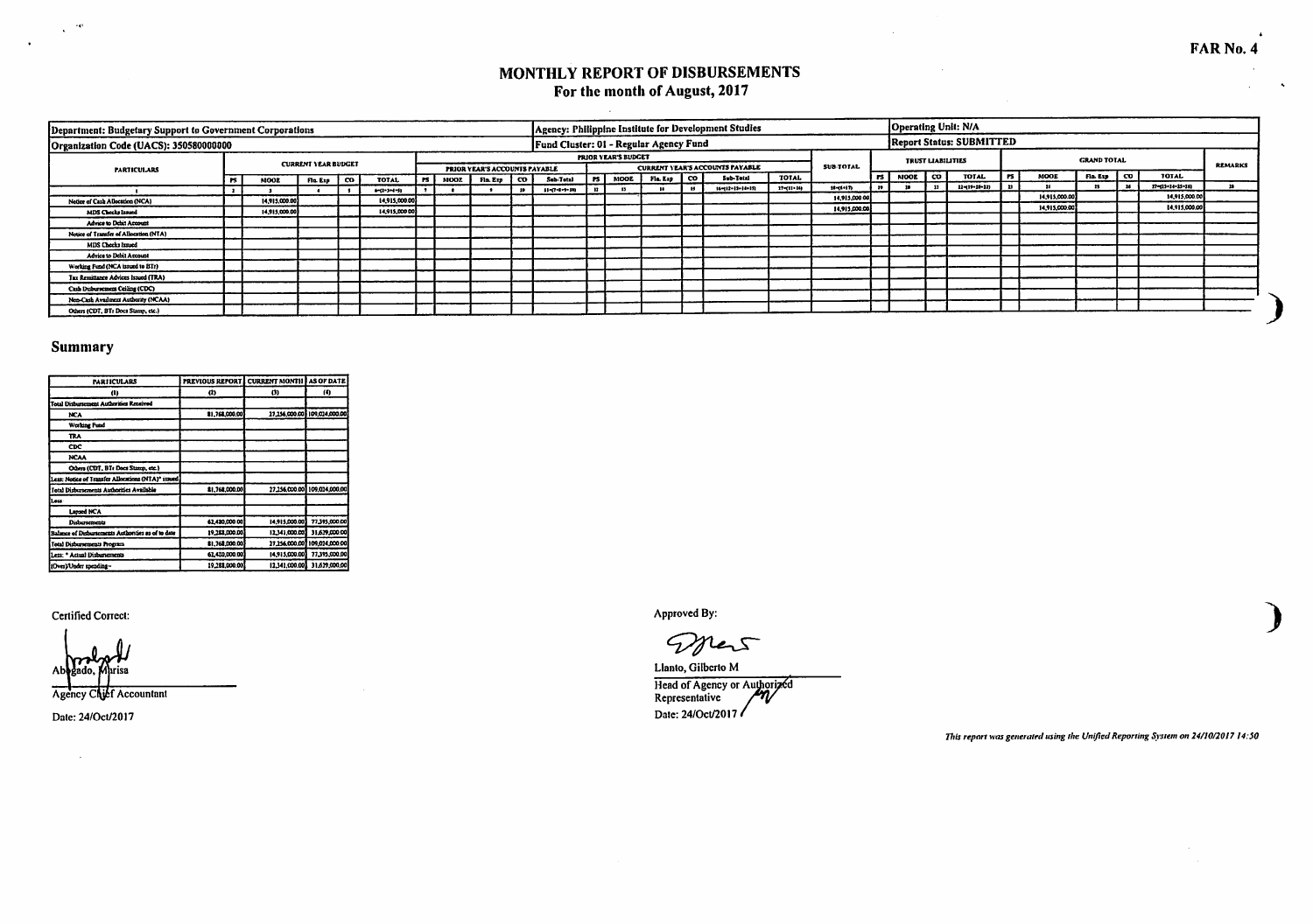$\hat{\mathbf{x}}$ 

# MONTHLY REPORT OF DISBURSEMENTS For the month of August, 2017

 $\mathcal{L}^{\mathcal{L}}$ 

 $\mathcal{L}$ 

| Department: Budgetary Support to Government Corporations |               |                            |                      |        |             |                               | Agency: Philippine Institute for Development Studies |      |                            |               |                                        |                  |                  |                          |    | Operating Unit: N/A             |           |               |                    |      |                  |                |
|----------------------------------------------------------|---------------|----------------------------|----------------------|--------|-------------|-------------------------------|------------------------------------------------------|------|----------------------------|---------------|----------------------------------------|------------------|------------------|--------------------------|----|---------------------------------|-----------|---------------|--------------------|------|------------------|----------------|
| Organization Code (UACS): 350580000000                   |               |                            |                      |        |             |                               | Fund Cluster: 01 - Regular Agency Fund               |      |                            |               |                                        |                  |                  |                          |    | <b>Report Status: SUBMITTED</b> |           |               |                    |      |                  |                |
|                                                          |               | <b>CURRENT YEAR BUDGET</b> |                      |        |             |                               |                                                      |      | <b>PRIOR YEAR'S BUDGET</b> |               |                                        |                  | <b>SUB-TOTAL</b> | <b>TRUST LIABILITIES</b> |    |                                 |           |               | <b>GRAND TOTAL</b> |      |                  | <b>REMARKS</b> |
| <b>PARTICULARS</b>                                       |               |                            |                      |        |             | PRIOR YEAR'S ACCOUNTS PAYABLE |                                                      |      |                            |               | <b>CURRENT YEAR'S ACCOUNTS PAYABLE</b> |                  |                  | IPS   NOOE   CO          |    | TOTAL                           | <b>PS</b> | <b>MODE</b>   | Fin. Exp.          | l co | <b>TOTAL</b>     |                |
|                                                          | <b>MOOL</b>   | Fla. Exp   CO              | TOTAL                | . PS . | <b>MOOL</b> | Fin. Exp   CO                 | Sub-Total                                            |      | <b>FS</b>   MOOE           | Fla. Esp   CO | Sub-Total                              | TOTAL            |                  |                          |    |                                 |           |               |                    |      | 27-(13+14-15+16) |                |
|                                                          |               |                            | $6 - 2 - 3 + 4 - 51$ |        |             |                               | $11 - 17 - 1 - 1 - 14$                               | - 12 |                            |               | 16-112-13-14-15)                       | $17 - (11 - 14)$ | 12-16-17:        |                          | 22 | 22-119-22-233                   |           |               |                    |      |                  |                |
| Notice of Cash Allocation (NCA)                          | 14.915,000.00 |                            | 14.915.000.00        |        |             |                               |                                                      |      |                            |               |                                        |                  | 14.915,000.00    |                          |    |                                 |           | 14.915,000.00 |                    |      | 14,915,000.00    |                |
| MDS Checks Issued                                        | 14.915.000.00 |                            | 14,915,000 00        |        |             |                               |                                                      |      |                            |               |                                        |                  | 14,915,000.00    |                          |    |                                 |           | 14.915.000.00 |                    |      | 14,915,000.00    |                |
| Advice to Debit Account                                  |               |                            |                      |        |             |                               |                                                      |      |                            |               |                                        |                  |                  |                          |    |                                 |           |               |                    |      |                  |                |
| Notice of Transfer of Allocation (NTA)                   |               |                            |                      |        |             |                               |                                                      |      |                            |               |                                        |                  |                  |                          |    |                                 |           |               |                    |      |                  |                |
| <b>MDS Checks Issued</b>                                 |               |                            |                      |        |             |                               |                                                      |      |                            |               |                                        |                  |                  |                          |    |                                 |           |               |                    |      |                  |                |
| Advice to Debit Account                                  |               |                            |                      |        |             |                               |                                                      |      |                            |               |                                        |                  |                  |                          |    |                                 |           |               |                    |      |                  |                |
| Working Fund (NCA issued to BTr)                         |               |                            |                      |        |             |                               |                                                      |      |                            |               |                                        |                  |                  |                          |    |                                 |           |               |                    |      |                  |                |
| Tax Remittance Advices Israed (TRA)                      |               |                            |                      |        |             |                               |                                                      |      |                            |               |                                        |                  |                  |                          |    |                                 |           |               |                    |      |                  |                |
| Cash Disbursement Ceiling (CDC)                          |               |                            |                      |        |             |                               |                                                      |      |                            |               |                                        |                  |                  |                          |    |                                 |           |               |                    |      |                  |                |
| Non-Cash Availment Authority (NCAA)                      |               |                            |                      |        |             |                               |                                                      |      |                            |               |                                        |                  |                  |                          |    |                                 |           |               |                    |      |                  |                |
| Others (CDT, BTs Docs Stamp, etc.)                       |               |                            |                      |        |             |                               |                                                      |      |                            |               |                                        |                  |                  |                          |    |                                 |           |               |                    |      |                  |                |

## Summary

 $\mathcal{L}^{(1)}$ 

 $\sim$   $\sim$ 

| <b>IMRITCULARS</b>                                  | PREVIOUS REPORT   CURRENT MONTH   AS OF DATE |                |                              |
|-----------------------------------------------------|----------------------------------------------|----------------|------------------------------|
| œ                                                   | $^{(1)}$                                     | Ø              | (4)                          |
| Total Disburrement Authorities Reneived             |                                              |                |                              |
| <b>NCA</b>                                          | 81.768.000.00                                |                | 11.156,000.00 109,024,000.00 |
| <b>Working Fund</b>                                 |                                              |                |                              |
| TRA                                                 |                                              |                |                              |
| <b>CDC</b>                                          |                                              |                |                              |
| <b>NCAA</b>                                         |                                              |                |                              |
| Others (CDT, BTs Docs Stamp, etc.)                  |                                              |                |                              |
| Less: Notice of Transfer Allocations (NTA)* issued. |                                              |                |                              |
| Total Disbursements Authorities Available           | 81,768,000.00                                |                | 27.256.000.00 109.024.000.00 |
| Less -                                              |                                              |                |                              |
| Lapsed NCA                                          |                                              |                |                              |
| Disbursements                                       | 62.420.000.00                                | 14,915,000.00  | 77.395,000.00                |
| Balance of Disburtements Authorities as of to date  | 19,283,000.00                                | 12.341,000.00  | 31,629,000.00                |
| Total Disburrements Program                         | 81,768,000.00                                |                | 27.256.000.00 109.024.000.00 |
| Less: * Actual Disbursements                        | 62,420,000.00                                | 14,915,000.00  | 77.395.000.00                |
| ItOver¥Under spending-                              | 19,288,000.00                                | 12.341.000.001 | 31,629,000,00                |

Certified Correct:

Abbi ado risa

Agency Chief Accountant

Date: 24/Oct/2017

 $\sim$ 

Approved By:

Drew

Llanto, Gilberto M Head of Agency or Authorized<br>Representative Date: 24/Oct/2017

This report was generated using the Unified Reporting System on 24/10/2017 14:50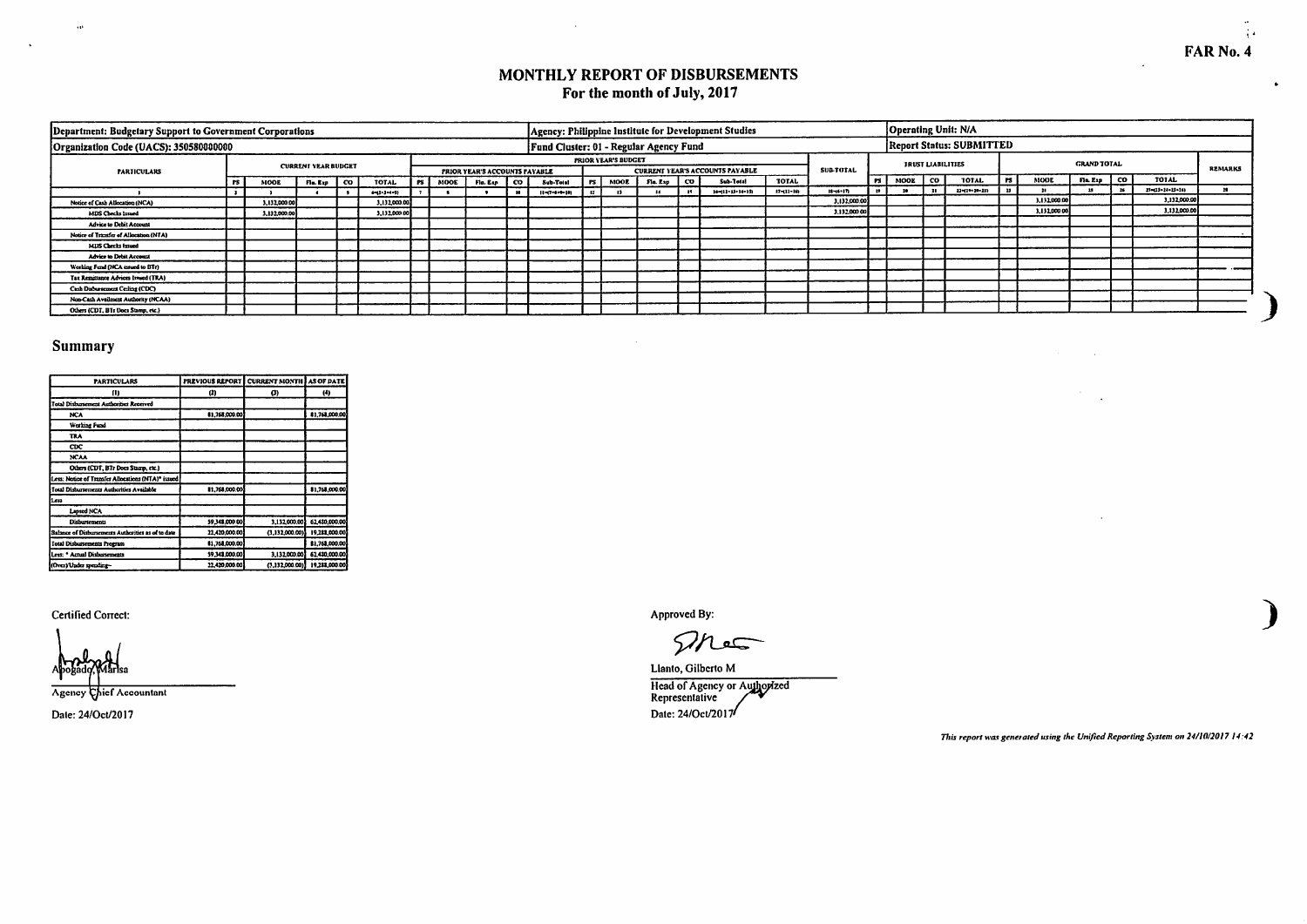FAR No. 4

 $\bullet$ 

### MONTHLY REPORT OF DISBURSEMENTS For the month of July, 2017

| Department: Budgetary Support to Government Corporations |           |              |                            |                       |        |             |                                                | Agency: Philippine Institute for Development Studies |              |                            |               |      |                                        |                  |                 |              |      |                                 | Operating Unit: N/A             |           |              |                    |      |                  |                |
|----------------------------------------------------------|-----------|--------------|----------------------------|-----------------------|--------|-------------|------------------------------------------------|------------------------------------------------------|--------------|----------------------------|---------------|------|----------------------------------------|------------------|-----------------|--------------|------|---------------------------------|---------------------------------|-----------|--------------|--------------------|------|------------------|----------------|
| Organization Code (UACS): 350580000000                   |           |              |                            |                       |        |             |                                                | Fund Cluster: 01 - Regular Agency Fund               |              |                            |               |      |                                        |                  |                 |              |      |                                 | <b>Report Status: SUBMITTED</b> |           |              |                    |      |                  |                |
|                                                          |           |              | <b>CURRENT YEAR BUDGET</b> |                       |        |             |                                                |                                                      |              | <b>PRIOR YEAR'S BUDGET</b> |               |      | <b>CURRENT YEAR'S ACCOUNTS PAYABLE</b> |                  | <b>SULTOTAL</b> |              |      | <b><i>IRUST LIABILITIES</i></b> |                                 |           |              | <b>GRAND TOTAL</b> |      |                  | <b>REMARKS</b> |
| <b>PARTICULARS</b>                                       | <b>rs</b> | <b>MOOE</b>  | $F = E =  CO $             | <b>TOTAL</b>          | l es i | <b>MOOR</b> | PRIOR YEAR'S ACCOUNTS PAYABLE<br>Fia. Exp   CO | Sub-Total                                            |              | <b>FS</b> MOOE             | Fin. Exp   CO |      | Sub-Total                              | <b>TOTAL</b>     |                 | Irsl         | MOOR | co                              | <b>TOTAL</b>                    | <b>PS</b> | <b>NOOE</b>  | Fin. East          | l co | TOTAL            |                |
|                                                          |           |              |                            | $4 - (2 - 3 - 4 - 5)$ |        |             |                                                | $11 - 7 - 6 + 6 - 121$                               | $\mathbf{R}$ | - 11                       |               | - 14 | $16 - (11 - 15 - 14 - 15)$             | $17 - (11 - 16)$ | $3 - 6 - 17$    | $\mathbf{B}$ |      |                                 | 22-41-120-231                   |           |              |                    |      | 17-(11-24-25-24) |                |
| Notice of Cash Allocation (NCA)                          |           | 3.132,000.00 |                            | 3,132,000.00          |        |             |                                                |                                                      |              |                            |               |      |                                        |                  | 3.132,000.00    |              |      |                                 |                                 |           | 3.132,000.00 |                    |      | 3.132,000.00     |                |
| <b>MDS Checks Issued</b>                                 |           | 3.132.000.00 |                            | 3.132,000.00          |        |             |                                                |                                                      |              |                            |               |      |                                        |                  | 3,132,000.00    |              |      |                                 |                                 |           | 3,132,000.00 |                    |      | 3,132,000.0      |                |
| Advice to Debit Account                                  |           |              |                            |                       |        |             |                                                |                                                      |              |                            |               |      |                                        |                  |                 |              |      |                                 |                                 |           |              |                    |      |                  |                |
| Notice of Transfer of Allocation (NTA)                   |           |              |                            |                       |        |             |                                                |                                                      |              |                            |               |      |                                        |                  |                 |              |      |                                 |                                 |           |              |                    |      |                  |                |
| MDS Checks Issued                                        |           |              |                            |                       |        |             |                                                |                                                      |              |                            |               |      |                                        |                  |                 |              |      |                                 |                                 |           |              |                    |      |                  |                |
| Advice to Debit Account                                  |           |              |                            |                       |        |             |                                                |                                                      |              |                            |               |      |                                        |                  |                 |              |      |                                 |                                 |           |              |                    |      |                  |                |
| Working Fund (NCA issued to BTr)                         |           |              |                            |                       |        |             |                                                |                                                      |              |                            |               |      |                                        |                  |                 |              |      |                                 |                                 |           |              |                    |      |                  |                |
| Tax Remittance Advices Issued (TRA)                      |           |              |                            |                       |        |             |                                                |                                                      |              |                            |               |      |                                        |                  |                 |              |      |                                 |                                 |           |              |                    |      |                  |                |
| Cash Disbursement Ceiling (CDC)                          |           |              |                            |                       |        |             |                                                |                                                      |              |                            |               |      |                                        |                  |                 |              |      |                                 |                                 |           |              |                    |      |                  |                |
| Non-Cash Availment Authority (NCAA)                      |           |              |                            |                       |        |             |                                                |                                                      |              |                            |               |      |                                        |                  |                 |              |      |                                 |                                 |           |              |                    |      |                  |                |
| Others (CDT, BTs Docs Stamp, etc.)                       |           |              |                            |                       |        |             |                                                |                                                      |              |                            |               |      |                                        |                  |                 |              |      |                                 |                                 |           |              |                    |      |                  |                |

### Summary

 $\ddot{\phantom{a}}$ 

 $\sim$ 

| <b>PARTICULARS</b>                                 | PREVIOUS REPORT CURRENT MONTH AS OF DATE |                |               |
|----------------------------------------------------|------------------------------------------|----------------|---------------|
| m                                                  | $^{(2)}$                                 | Ø)             | $^{(4)}$      |
| Total Disbarrement Authorities Received            |                                          |                |               |
| <b>NCA</b>                                         | 81.768.000.00                            |                | 81.768.000.00 |
| <b>Working Fund</b>                                |                                          |                |               |
| <b>TRA</b>                                         |                                          |                |               |
| CDC                                                |                                          |                |               |
| <b>NCAA</b>                                        |                                          |                |               |
| Others (CDT, BTr Does Stamp, etc.)                 |                                          |                |               |
| Less: Notice of Transfer Allocations (NTA)* issued |                                          |                |               |
| Total Disburtements Authorities Available          | 81.768.000.00                            |                | 81,763,000.00 |
| Less                                               |                                          |                |               |
| Lapsed NCA                                         |                                          |                |               |
| Disbursements                                      | 59.348.000.00                            | 3,132,000.00   | 62,430,000.00 |
| Salance of Disbursements Authorities as of to date | 22,420,000.00                            | (3.132,000,00) | 19,281,000.00 |
| <b>Total Disbursements Program</b>                 | 81,768,000.00                            |                | 81,768,000.00 |
| Less: * Actual Disbursements                       | 59.343.000.00                            | 3.132.000.00   | 62.430.000.00 |
| (OverVinder spending-                              | 22.420,000.00                            | (3.132,000.00) | 19,288,000.00 |

Certified Correct:

Agency Chief Accountant

Date: 24/Oct/2017

Approved By:

Thes

Llanto, Gilberto M Head of Agency or Authorized<br>Representative Date: 24/Oct/2017

This report was generated using the Unified Reporting System on 24/10/2017 14:42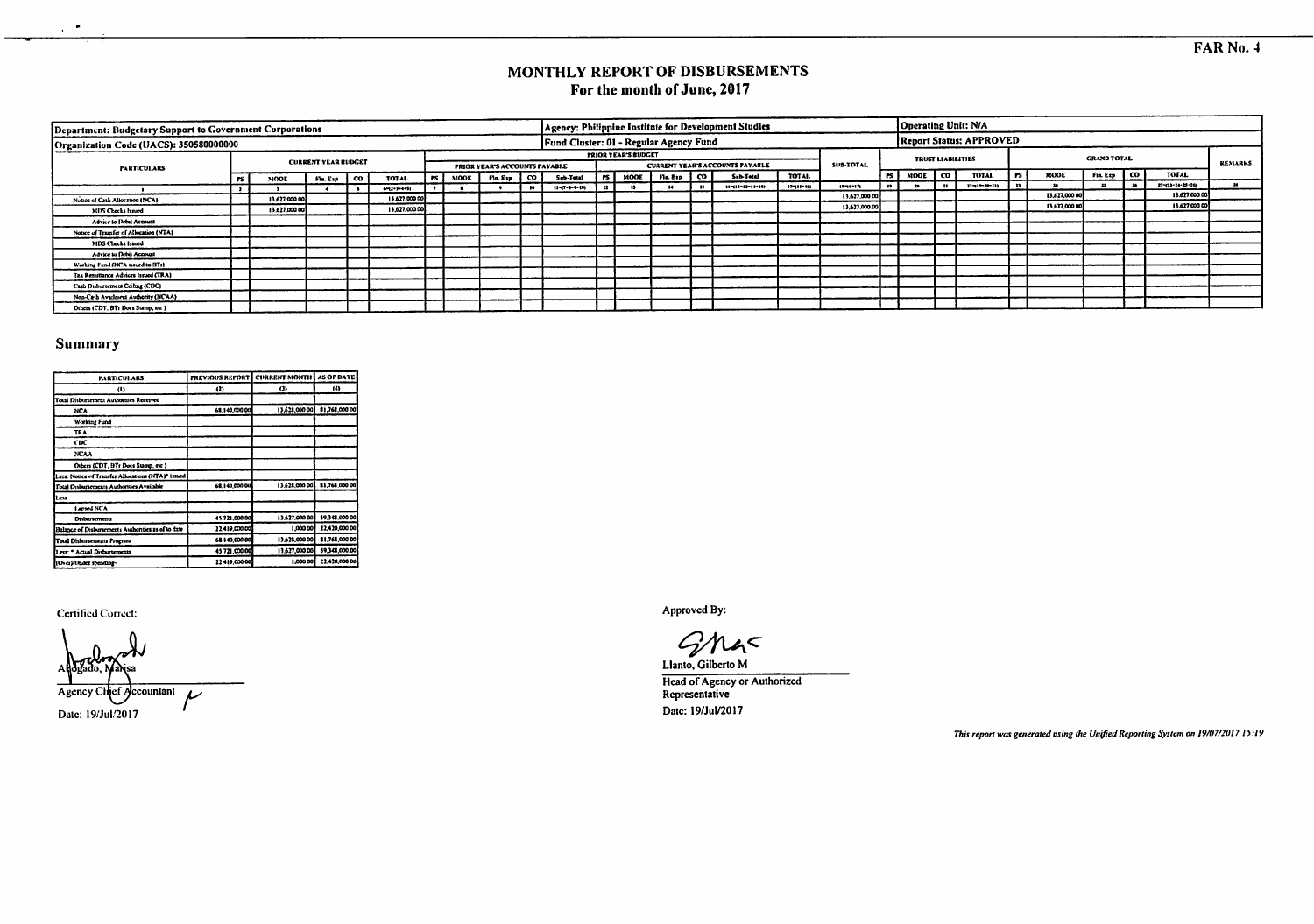### MONTHLY REPORT OF DISBURSEMENTS For the month of June, 2017

| Department: Budgetary Support to Government Corporations |           |               |                            |      |                       |        |        |                               |                                        |       |                            |          |    | Agency: Philippine Institute for Development Studies |          |               |      |      |                          | Operating Unit: N/A            |      |              |                    |                            |                |
|----------------------------------------------------------|-----------|---------------|----------------------------|------|-----------------------|--------|--------|-------------------------------|----------------------------------------|-------|----------------------------|----------|----|------------------------------------------------------|----------|---------------|------|------|--------------------------|--------------------------------|------|--------------|--------------------|----------------------------|----------------|
| Organization Code (UACS): 350580000000                   |           |               |                            |      |                       |        |        |                               | Fund Cluster: 01 - Regular Agency Fund |       |                            |          |    |                                                      |          |               |      |      |                          | <b>Report Status: APPROVED</b> |      |              |                    |                            |                |
|                                                          |           |               | <b>CURRENT YEAR BUDGET</b> |      |                       |        |        |                               |                                        |       | <b>PRIOR YEAR'S BUDGET</b> |          |    |                                                      |          |               |      |      | <b>TRUST LIABILITIES</b> |                                |      |              | <b>GRAND TOTAL</b> |                            | <b>REMARKS</b> |
| <b>PARTICULARS</b>                                       |           |               |                            |      |                       |        |        | PRIOR YEAR'S ACCOUNTS PAYABLE |                                        |       |                            |          |    | <b>CURRENT YEAR'S ACCOUNTS PAYABLE</b>               |          | SUB-TOTAL     |      |      |                          |                                |      |              |                    | <b>TOTAL</b>               |                |
|                                                          | <b>PS</b> | MOOE          | Fis. Esp.                  | l co | TOTAL                 | l rs l | MOOE I | FLL Exp   CO                  | Sub-Total                              | irs I | моог і                     | Fla. Exp | Iα | Sub-Total                                            | TOTAL    |               | rs I | MODE | IΩ                       | TOTAL                          | - FS | MODE         | Fis.Exp   CO       |                            |                |
|                                                          |           |               |                            |      | $4 - 12 - 3 - 4 - 51$ |        |        |                               | $11 - 17 - 1 - 1 - 101$                | 22    |                            |          |    | $14 - 11 - 13 - 14 - 15$                             | 07-08-00 | $10 - 17$     |      |      | 21                       | $13 - 19 - 29 - 219$           |      |              |                    | $17 - (13 - 14 - 15 - 14)$ |                |
| Notice of Cash Allocation (NCA)                          |           | 13,627,000.00 |                            |      | 13,627,000.00         |        |        |                               |                                        |       |                            |          |    |                                                      |          | 13,627,000.00 |      |      |                          |                                |      | 13,627,000 0 |                    | 13.627,000.00              |                |
| MDS Checks Issued                                        |           | 13,627,000.00 |                            |      | 13,627,000.00         |        |        |                               |                                        |       |                            |          |    |                                                      |          | 13.627.000.00 |      |      |                          |                                |      | 13,627,000.0 |                    | 13,627,000.00              |                |
| Advice to Debit Account                                  |           |               |                            |      |                       |        |        |                               |                                        |       |                            |          |    |                                                      |          |               |      |      |                          |                                |      |              |                    |                            |                |
| Notice of Transfer of Allocation (NTA)                   |           |               |                            |      |                       |        |        |                               |                                        |       |                            |          |    |                                                      |          |               |      |      |                          |                                |      |              |                    |                            |                |
| <b>MDS Checks Issued</b>                                 |           |               |                            |      |                       |        |        |                               |                                        |       |                            |          |    |                                                      |          |               |      |      |                          |                                |      |              |                    |                            |                |
| Advice to Debit Account                                  |           |               |                            |      |                       |        |        |                               |                                        |       |                            |          |    |                                                      |          |               |      |      |                          |                                |      |              |                    |                            |                |
| Working Fund (NCA issued to BTs)                         |           |               |                            |      |                       |        |        |                               |                                        |       |                            |          |    |                                                      |          |               |      |      |                          |                                |      |              |                    |                            |                |
| Tax Remittance Advices Issued (TRA)                      |           |               |                            |      |                       |        |        |                               |                                        |       |                            |          |    |                                                      |          |               |      |      |                          |                                |      |              |                    |                            |                |
| Cash Disbursement Ceiling (CDC)                          |           |               |                            |      |                       |        |        |                               |                                        |       |                            |          |    |                                                      |          |               |      |      |                          |                                |      |              |                    |                            |                |
| Non-Cash Availment Authority (NCAA)                      |           |               |                            |      |                       |        |        |                               |                                        |       |                            |          |    |                                                      |          |               |      |      |                          |                                |      |              |                    |                            |                |
| Others (CDT, BTr Docs Stamp, etc.)                       |           |               |                            |      |                       |        |        |                               |                                        |       |                            |          |    |                                                      |          |               |      |      |                          |                                |      |              |                    |                            |                |

#### Summary

 $\bullet$  $\ddot{\phantom{a}}$ 

| <b>PARTICULARS</b>                                 | <b>PREVIOUS REPORT   CURRENT MONTII</b> |                | AS OF DATE     |
|----------------------------------------------------|-----------------------------------------|----------------|----------------|
| $\omega$                                           | 42)                                     | $_{(3)}$       | (4)            |
| <b>Total Disbursement Authorities Received</b>     |                                         |                |                |
| <b>NCA</b>                                         | 68.140.000.00                           | 13,628,000.00  | 81,768,000.00  |
| Working Fund                                       |                                         |                |                |
| TRA                                                |                                         |                |                |
| ск                                                 |                                         |                |                |
| <b>NCAA</b>                                        |                                         |                |                |
| Others (CDT, BTr Docs Stamp, etc.)                 |                                         |                |                |
| Lets. Notice of Transfer Allocations (NTA)* issued |                                         |                |                |
| Total Disbursements Authorities Available          | 68.140,000.00                           | 13.628.000.001 | 81,768,000.00  |
| Less                                               |                                         |                |                |
| Lapsed NCA                                         |                                         |                |                |
| <b>Disbursements</b>                               | 45.721.000.00                           | 13.627.000.00  | \$9,348,000.00 |
| Balance of Disburrements Authorities as of to date | 22,419,000.00                           | 1,000.00       | 12,420,000 00  |
| Total Disbursements Program                        | 68.140.000.00                           | 13.628.000.00  | 81.768,000.00  |
| Lets: * Actual Disburtements                       | 45,721,000.00                           | 13,627,000.00  | 59.348.000.00  |
| I(OverVUtder spending-                             | 22,419,000.00                           | 1,000.00       | 22.420,000.00  |

Certified Correct:

Agency ccountant  $\overline{\nu}$ Date: 19/Jul/2017

Approved By:

 $\mathcal G$  $14<$ 

Llanto, Gilberto M Head of Agency or Authorized<br>Representative Date: 19/Jul/2017

This report was generated using the Unified Reporting System on 19/07/2017 15:19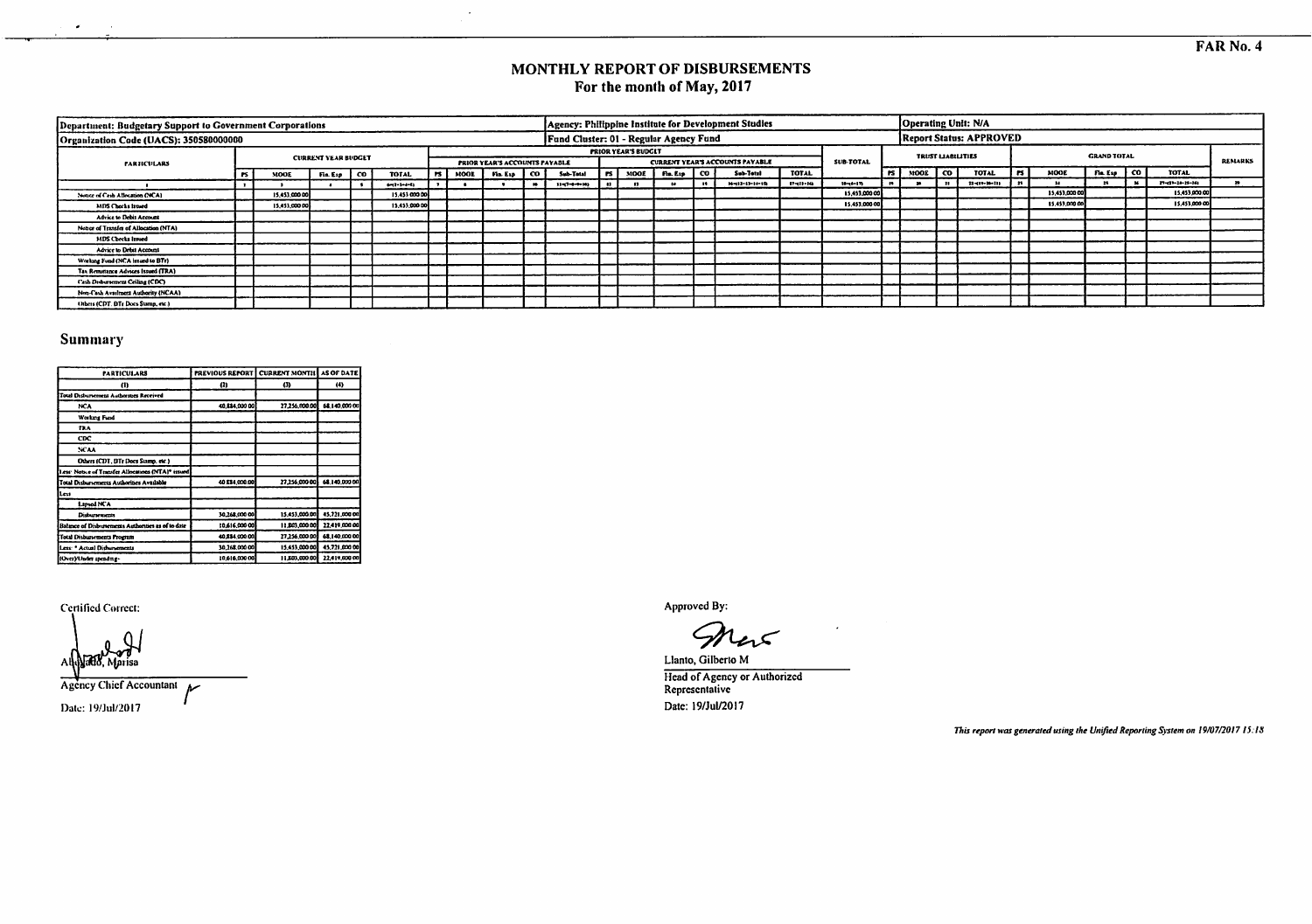### MONTHLY REPORT OF DISBURSEMENTS For the month of May, 2017

| Department: Budgetary Support to Government Corporations |    |               |                            |      |                     |        |      |                                      |      |                                        |                |                            |            |      | Agency: Philippine Institute for Development Studies |                |               | <b>Operating Unit: N/A</b> |           |                                |      |               |                    |                 |                |
|----------------------------------------------------------|----|---------------|----------------------------|------|---------------------|--------|------|--------------------------------------|------|----------------------------------------|----------------|----------------------------|------------|------|------------------------------------------------------|----------------|---------------|----------------------------|-----------|--------------------------------|------|---------------|--------------------|-----------------|----------------|
| Organization Code (UACS): 350580000000                   |    |               |                            |      |                     |        |      |                                      |      | Fund Cluster: 01 - Regular Agency Fund |                |                            |            |      |                                                      |                |               |                            |           | <b>Report Status: APPROVED</b> |      |               |                    |                 |                |
| <b><i>FARTICULARS</i></b>                                |    |               | <b>CURRENT YEAR BUDGET</b> |      |                     |        |      | <b>PRIOR YEAR'S ACCOUNTS PAYABLE</b> |      |                                        |                | <b>PRIOR YEAR'S BUDGET</b> |            |      | <b>CURRENT YEAR'S ACCOUNTS PAYABLE</b>               |                | SUB-TOTAL     | <b>TRUST LIABILITIES</b>   |           |                                |      |               | <b>GRAND TOTAL</b> |                 | <b>REMARKS</b> |
|                                                          | 15 | MODE          | Fla. Esp                   | l co | <b>TOTAL</b>        | l rs I | NOOE | Fin Exp   CO                         |      | Sub-Total                              | $\blacksquare$ | MOOE                       | natus   CO |      | Sec-Total                                            | <b>TOTAL</b>   |               | PS MOOE                    | <b>CO</b> | <b>TOTAL</b>                   | - 15 | MODE          | Fin Exp   CO       | <b>TOTAL</b>    |                |
|                                                          |    |               |                            |      | $4 - 1 - 1 - 4 - 4$ |        |      |                                      | - 10 | $11 - (7 - 6 - 1 - 14)$                |                |                            |            | - 19 | $M = 11 - 11 - 11 + 15$                              | $17 - 11 - 14$ | 19-16-170     |                            | -21       | $11 - 11 + 16 - 111$           |      |               |                    | 21-21-24-25-261 |                |
| Nonce of Cash Atlocation (NCA)                           |    | 15,453,000.00 |                            |      | 15,453,000.00       |        |      |                                      |      |                                        |                |                            |            |      |                                                      |                | 15.453,000.00 |                            |           |                                |      | 15,453,000.00 |                    | 15,453,000.00   |                |
| MDS Checks Israed                                        |    | 15,453,000.00 |                            |      | 15,453,000.00       |        |      |                                      |      |                                        |                |                            |            |      |                                                      |                | 15.453,00000  |                            |           |                                |      | 15.457,000.00 |                    | 15,453,000.00   |                |
| Advice to Debit Account                                  |    |               |                            |      |                     |        |      |                                      |      |                                        |                |                            |            |      |                                                      |                |               |                            |           |                                |      |               |                    |                 |                |
| Notice of Transfer of Allocation (NTA)                   |    |               |                            |      |                     |        |      |                                      |      |                                        |                |                            |            |      |                                                      |                |               |                            |           |                                |      |               |                    |                 |                |
| MDS Checks Issued                                        |    |               |                            |      |                     |        |      |                                      |      |                                        |                |                            |            |      |                                                      |                |               |                            |           |                                |      |               |                    |                 |                |
| Advice to Debit Account                                  |    |               |                            |      |                     |        |      |                                      |      |                                        |                |                            |            |      |                                                      |                |               |                            |           |                                |      |               |                    |                 |                |
| Working Fund (NCA issued to BTr)                         |    |               |                            |      |                     |        |      |                                      |      |                                        |                |                            |            |      |                                                      |                |               |                            |           |                                |      |               |                    |                 |                |
| <b>Tax Remittance Advices Issued (TRA)</b>               |    |               |                            |      |                     |        |      |                                      |      |                                        |                |                            |            |      |                                                      |                |               |                            |           |                                |      |               |                    |                 |                |
| Cash Deductement Ceiling (CDC)                           |    |               |                            |      |                     |        |      |                                      |      |                                        |                |                            |            |      |                                                      |                |               |                            |           |                                |      |               |                    |                 |                |
| Non-Cash Availment Authority (NCAA)                      |    |               |                            |      |                     |        |      |                                      |      |                                        |                |                            |            |      |                                                      |                |               |                            |           |                                |      |               |                    |                 |                |
| Others (CDT. BTr Does Stamp, etc.)                       |    |               |                            |      |                     |        |      |                                      |      |                                        |                |                            |            |      |                                                      |                |               |                            |           |                                |      |               |                    |                 |                |

### Summary

 $\overline{a}$ 

| <b>PARTICULARS</b>                                 | <b>PREVIOUS REPORT</b> | <b>CURRENT MONTH</b> | AS OF DATE    |
|----------------------------------------------------|------------------------|----------------------|---------------|
| $\theta$                                           | $^{(2)}$               | (3)                  | $^{(4)}$      |
| Total Disburrement Authorities Received            |                        |                      |               |
| <b>NCA</b>                                         | 40,884,000 00          | 27.256.000.00        | 68,140,000 00 |
| Working Fund                                       |                        |                      |               |
| TAA                                                |                        |                      |               |
| CDC                                                |                        |                      |               |
| <b>NCAA</b>                                        |                        |                      |               |
| Others (CDT, BTr Does Stamp, etc.)                 |                        |                      |               |
| Less: Notice of Transfer Allocations (NTA)* issued |                        |                      |               |
| Total Disbursements Authorities Available          | 40 834,000.00          | 27.256,000.00        | 68.140.000.00 |
| Less <sub>1</sub>                                  |                        |                      |               |
| Lamed NCA                                          |                        |                      |               |
| Disbursements                                      | 30.268.000.00          | 15,453,000.00        | 45,721,000 00 |
| Balance of Disbursements Authorities as of to date | 10,616,000 00          | 11,203,000.00        | 22.419.000.00 |
| <b>Total Disbusements Program</b>                  | 40,884,000.00          | 27.256,000.00        | 68.140.000.00 |
| Less: * Actual Dishursements                       | 30,268,000.00          | 15,453,000.00        | 45.721.000.00 |
| (Over)/Under spending-                             | 10.615,000.00          | 11.803,000.00        | 22,419,000.00 |

Certified Correct:

Al risa.

Agency Chief Accountant سمط Date: 19/Jul/2017

Approved By:

Llanto, Gilberto M Head of Agency or Authorized<br>Representative Date: 19/Jul/2017

This report was generated using the Unified Reporting System on 19/07/2017 15:18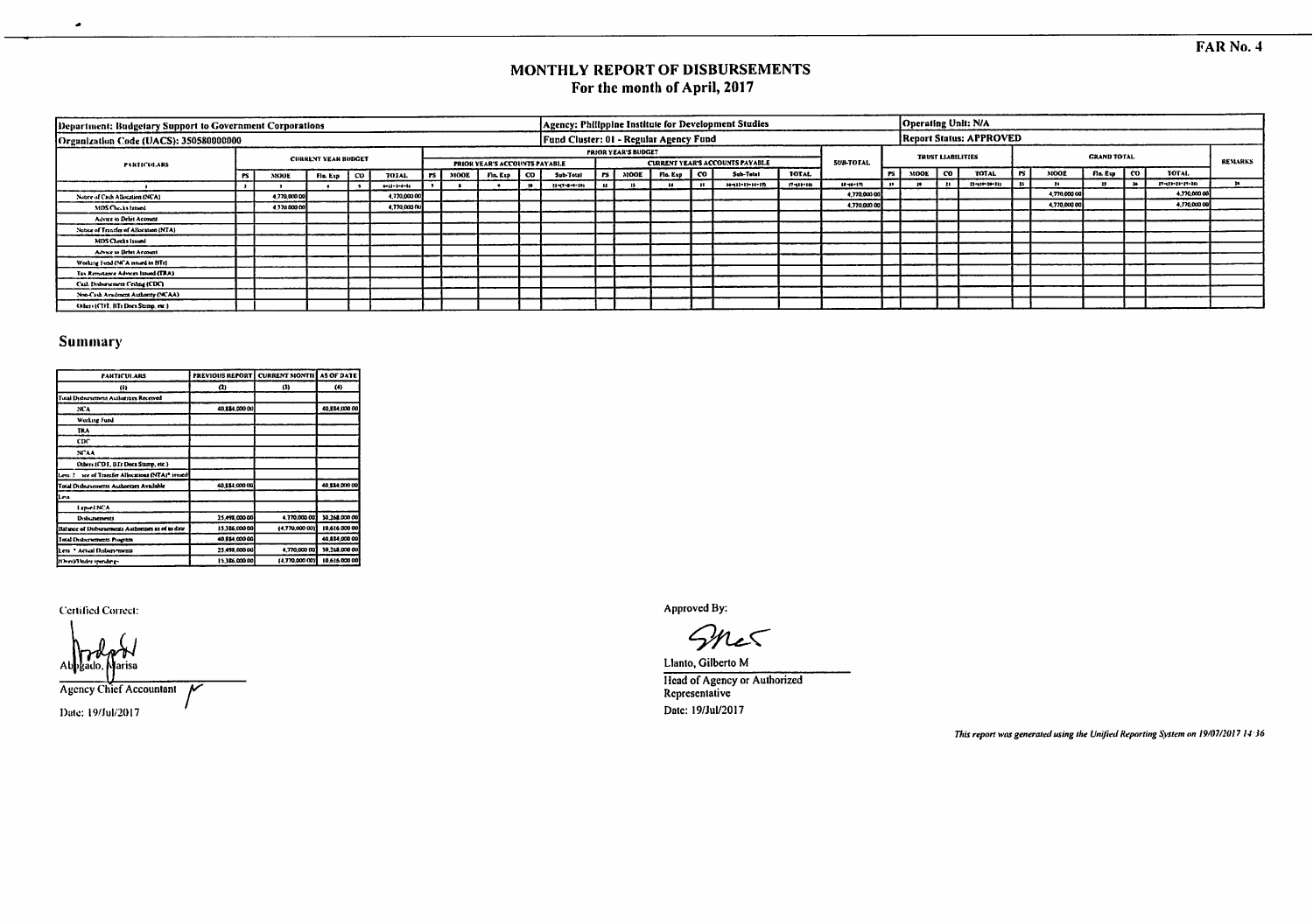### MONTHLY REPORT OF DISBURSEMENTS For the month of April, 2017

| Department: Budgetary Support to Government Corporations |           |              |                            |    |                    |      |      |                               |                                        |      |                            |          |           | Agency: Philippine Institute for Development Studies |              |                  |      |      |     | Operating Unit: N/A            |      |             |                    |                            |         |
|----------------------------------------------------------|-----------|--------------|----------------------------|----|--------------------|------|------|-------------------------------|----------------------------------------|------|----------------------------|----------|-----------|------------------------------------------------------|--------------|------------------|------|------|-----|--------------------------------|------|-------------|--------------------|----------------------------|---------|
| Organization Code (UACS): 350580088000                   |           |              |                            |    |                    |      |      |                               | Fund Cluster: 01 - Regular Agency Fund |      |                            |          |           |                                                      |              |                  |      |      |     | <b>Report Status: APPROVED</b> |      |             |                    |                            |         |
| PARTICULARS                                              |           |              | <b>CURRENT YEAR BUDGET</b> |    |                    |      |      | PRIOR YEAR'S ACCOUNTS PAYABLE |                                        |      | <b>PRIOR YEAR'S BUDGET</b> |          |           | <b>CURRENT YEAR'S ACCOUNTS PAYABLE</b>               |              | <b>SUB-TOTAL</b> |      |      |     | <b>TRUST LIABILITIES</b>       |      |             | <b>GRAND TOTAL</b> |                            | REMARKS |
|                                                          | <b>PS</b> | MOOE         | Fin. Exp. 1                | _ര | TOTAL              | rs l | MOOE | Fin. Exp   CO                 | Sub-Total                              | Irsl | MOOE                       | Fin. Exp | <b>CO</b> | Sub-Tetal                                            | <b>TOTAL</b> |                  | irsh | MOOE | CO. | TOTAL                          |      | <b>MOOR</b> | Fla. Exp   CO      | <b>TOTAL</b>               |         |
|                                                          |           |              |                            |    | <b>BALL-SHEISE</b> |      |      |                               | $11 - 7 - 8 - 11$                      |      |                            |          |           | $14 - 11 - 11 - 11 - 17$                             | 17-110-100   | 10-06-179        |      |      |     | 22-110-20-211                  | - 11 |             |                    | $27 - 123 - 24 - 29 - 263$ |         |
| Notice of Cash Allocation (NCA)                          |           | 4.770.000.00 |                            |    | 1,770,000.00       |      |      |                               |                                        |      |                            |          |           |                                                      |              | 4.770.000.00     |      |      |     |                                |      | 4,770,000 0 |                    | 4,770,000.00               |         |
| MDS Checks Issued                                        |           | 4,770,000.0  |                            |    | 4,770,000 00       |      |      |                               |                                        |      |                            |          |           |                                                      |              | 4,770,000.00     |      |      |     |                                |      | 4,770,000 0 |                    | 4,770,000.00               |         |
| Advice to Debit Account                                  |           |              |                            |    |                    |      |      |                               |                                        |      |                            |          |           |                                                      |              |                  |      |      |     |                                |      |             |                    |                            |         |
| Notice of Transfer of Allocation (NTA)                   |           |              |                            |    |                    |      |      |                               |                                        |      |                            |          |           |                                                      |              |                  |      |      |     |                                |      |             |                    |                            |         |
| MDS Checks Issued                                        |           |              |                            |    |                    |      |      |                               |                                        |      |                            |          |           |                                                      |              |                  |      |      |     |                                |      |             |                    |                            |         |
| Advice to Debit Account                                  |           |              |                            |    |                    |      |      |                               |                                        |      |                            |          |           |                                                      |              |                  |      |      |     |                                |      |             |                    |                            |         |
| Working Fund (NCA mund to BTr)                           |           |              |                            |    |                    |      |      |                               |                                        |      |                            |          |           |                                                      |              |                  |      |      |     |                                |      |             |                    |                            |         |
| Tax Remittance Advices Issued (TRA)                      |           |              |                            |    |                    |      |      |                               |                                        |      |                            |          |           |                                                      |              |                  |      |      |     |                                |      |             |                    |                            |         |
| Cash Dishursement Ceiling (CDC)                          |           |              |                            |    |                    |      |      |                               |                                        |      |                            |          |           |                                                      |              |                  |      |      |     |                                |      |             |                    |                            |         |
| Non-Cash Availment Authority (NCAA)                      |           |              |                            |    |                    |      |      |                               |                                        |      |                            |          |           |                                                      |              |                  |      |      |     |                                |      |             |                    |                            |         |
| Other (CDT, BT) Does Stamp, etc.)                        |           |              |                            |    |                    |      |      |                               |                                        |      |                            |          |           |                                                      |              |                  |      |      |     |                                |      |             |                    |                            |         |

### Summary

 $\bullet$ 

| <b>PARTICULARS</b>                                 | <b>PREVIOUS REPORT</b> | <b>CURRENT MONTH</b> | AS OF DATE    |
|----------------------------------------------------|------------------------|----------------------|---------------|
| œ                                                  | Œ.                     | (3)                  | (4)           |
| Tutal Dishursement Authorities Received            |                        |                      |               |
| ЖA                                                 | 40.884.000.00          |                      | 40,884,000.00 |
| <b>Working Fund</b>                                |                        |                      |               |
| <b>TRA</b>                                         |                        |                      |               |
| CDC                                                |                        |                      |               |
| NCAA                                               |                        |                      |               |
| Others (CDT, BTr Does Stamp, etc.)                 |                        |                      |               |
| Less: ? see of Transfer Allocations (NTAI* issued  |                        |                      |               |
| Total Disbursements Authorities Available          | 40,884,000.00          |                      | 40.114.000.00 |
| Less                                               |                        |                      |               |
| Lapsed NCA                                         |                        |                      |               |
| Debuttements                                       | 25, 198, 000 00        | 4.770.000.00         | 30.268.000.00 |
| Balance of Disbursements Authorities as of to date | 15.326.000.00          | (4,770,000,03)       | 10,616,000.00 |
| <b>Jotal Dedurations Program</b>                   | 40.884.000.00          |                      | 40.884.000.00 |
| Less * Actual Disburrenents                        | 25.498.000.00          | 4,770,000 00         | 30,268,000.00 |
| (Over)/Under spending-                             | 15.386.000.00          | (4.770,000.00)       | 10,616,000.00 |

Certified Correct:

rist

Agency Chief Accountant  $\overline{\mathbf{r}}$ Date: 19/Jul/2017

Approved By:

Sher

Llanto, Gilberto M **Head of Agency or Authorized Representative** Date: 19/Jul/2017

This report was generated using the Unified Reporting System on 19/07/2017 14:36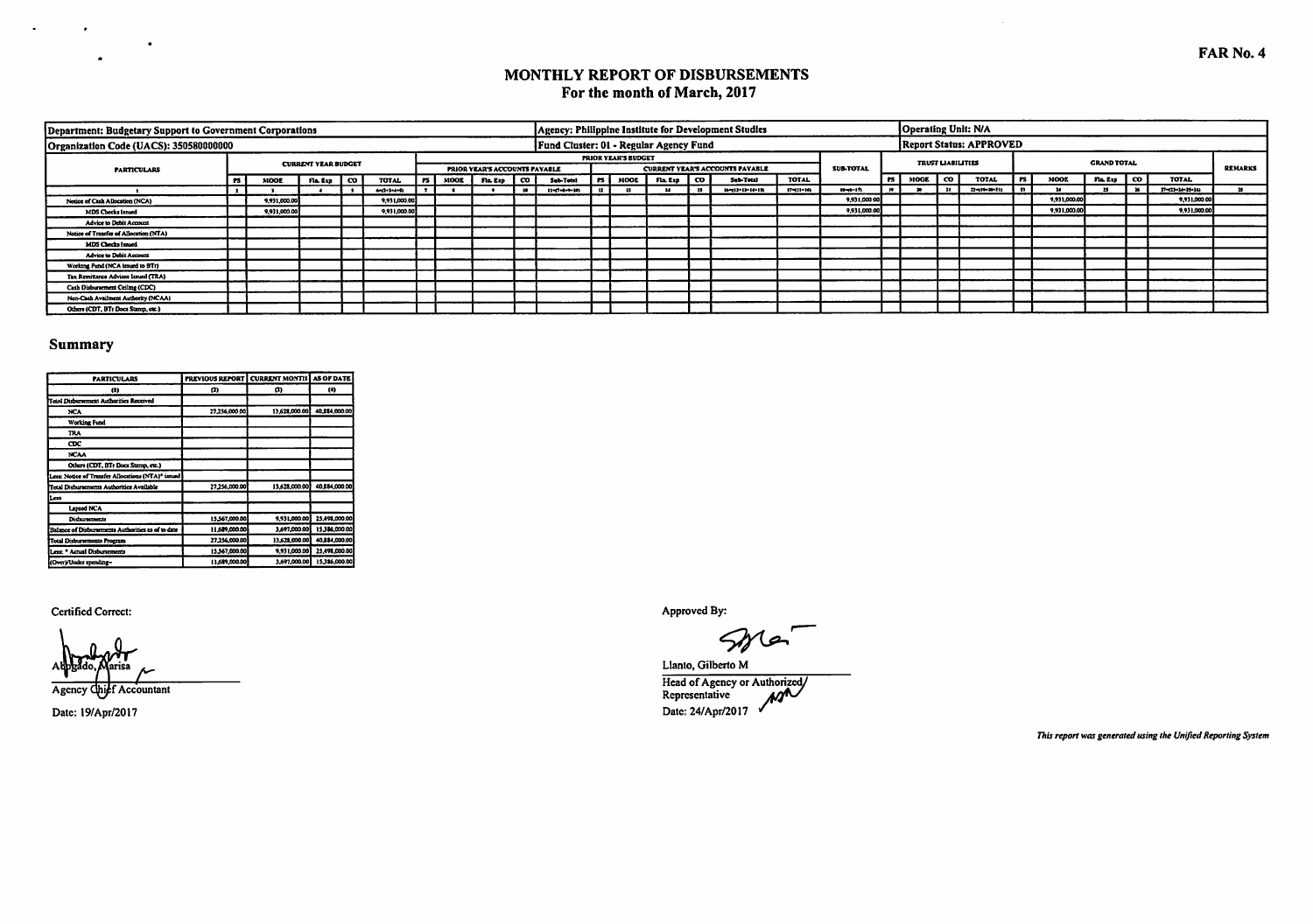| Department: Budgetary Support to Government Corporations |           |              |                            |      |                  |        |                                      |      |                                        |      |                            |                 | [Agency: Philippine Institute for Development Studies |              |                  | Operating Unit: N/A |                          |                                |           |              |                                                |                  |                |
|----------------------------------------------------------|-----------|--------------|----------------------------|------|------------------|--------|--------------------------------------|------|----------------------------------------|------|----------------------------|-----------------|-------------------------------------------------------|--------------|------------------|---------------------|--------------------------|--------------------------------|-----------|--------------|------------------------------------------------|------------------|----------------|
| Organization Code (UACS): 350580000000                   |           |              |                            |      |                  |        |                                      |      | Fund Cluster: 01 - Regular Agency Fund |      |                            |                 |                                                       |              |                  |                     |                          | <b>Report Status: APPROVED</b> |           |              |                                                |                  |                |
| <b>PARTICULARS</b>                                       |           |              | <b>CURRENT YEAR BUDGET</b> |      |                  |        | <b>PRIOR YEAR'S ACCOUNTS PAYABLE</b> |      |                                        |      | <b>PRIOR YEAR'S BUDGET</b> |                 | <b>CURRENT YEAR'S ACCOUNTS PAYABLE</b>                |              | <b>SUB-TOTAL</b> |                     | <b>TRUST LIABILITIES</b> |                                |           |              | <b>GRAND TOTAL</b>                             |                  | <b>REMARKS</b> |
|                                                          | <b>PS</b> | <b>MOOE</b>  | Fia. Exp                   | l co | <b>TOTAL</b>     | l rs l | MOOE   Fin Exp   CO                  |      | Sub-Total                              | Irsl | MOOL                       | $F1a. Exp$ $CO$ | Sub-Total                                             | <b>TOTAL</b> |                  | IPS INDOE ICO       |                          | TOTAL                          | <b>PS</b> | <b>MOOL</b>  | $F = E = \begin{bmatrix} 0 \\ 0 \end{bmatrix}$ | TOTAL            |                |
|                                                          |           |              |                            |      | <b>HO-3-4-91</b> |        |                                      | - 10 | $11 - 7 - 8 - 9 - 10$                  | 12   |                            |                 | 164112-15-14-12                                       | 17-711-10    | $10 - 17$        |                     |                          | 22-10-20-21)                   |           |              |                                                | 17-120-24-25-241 |                |
| Notice of Cash Allocation (NCA)                          |           | 9,931,000.00 |                            |      | 9.931,000.00     |        |                                      |      |                                        |      |                            |                 |                                                       |              | 9,931,000.00     |                     |                          |                                |           | 9,931,000.00 |                                                | 9,931,000.00     |                |
| MDS Checks Issued                                        |           | 9,931,000.00 |                            |      | 9,931,000.00     |        |                                      |      |                                        |      |                            |                 |                                                       |              | 9,931,000.00     |                     |                          |                                |           | 9.931.000.00 |                                                | 9,931,000.00     |                |
| <b>Advice to Debit Account</b>                           |           |              |                            |      |                  |        |                                      |      |                                        |      |                            |                 |                                                       |              |                  |                     |                          |                                |           |              |                                                |                  |                |
| Notice of Transfer of Allocation (NTA)                   |           |              |                            |      |                  |        |                                      |      |                                        |      |                            |                 |                                                       |              |                  |                     |                          |                                |           |              |                                                |                  |                |
| MDS Checks Issued                                        |           |              |                            |      |                  |        |                                      |      |                                        |      |                            |                 |                                                       |              |                  |                     |                          |                                |           |              |                                                |                  |                |
| Advice to Debit Account                                  |           |              |                            |      |                  |        |                                      |      |                                        |      |                            |                 |                                                       |              |                  |                     |                          |                                |           |              |                                                |                  |                |
| Working Fund (NCA issued to BTr)                         |           |              |                            |      |                  |        |                                      |      |                                        |      |                            |                 |                                                       |              |                  |                     |                          |                                |           |              |                                                |                  |                |
| Tax Remittance Advices Issued (TRA)                      |           |              |                            |      |                  |        |                                      |      |                                        |      |                            |                 |                                                       |              |                  |                     |                          |                                |           |              |                                                |                  |                |
| Cash Disbursement Ceiling (CDC)                          |           |              |                            |      |                  |        |                                      |      |                                        |      |                            |                 |                                                       |              |                  |                     |                          |                                |           |              |                                                |                  |                |
| Non-Cash Availment Authority (NCAA)                      |           |              |                            |      |                  |        |                                      |      |                                        |      |                            |                 |                                                       |              |                  |                     |                          |                                |           |              |                                                |                  |                |
| Others (CDT, BTs Does Stamp, etc.)                       |           |              |                            |      |                  |        |                                      |      |                                        |      |                            |                 |                                                       |              |                  |                     |                          |                                |           |              |                                                |                  |                |

### Summary

 $\sigma_{\rm{max}}$ 

 $\bullet$ 

 $\bullet$ 

| <b>PARTICULARS</b>                                 |               | PREVIOUS REPORT   CURRENT MONTH   AS OF DATE |               |
|----------------------------------------------------|---------------|----------------------------------------------|---------------|
| $\omega$                                           | o             | G)                                           | (G)           |
| <b>Total Disburrement Authorities Received</b>     |               |                                              |               |
| NCA                                                | 27.256.000.00 | 13.628.000.00                                | 40.884,000.00 |
| Working Fund                                       |               |                                              |               |
| <b>TRA</b>                                         |               |                                              |               |
| <b>CDC</b>                                         |               |                                              |               |
| <b>NCAA</b>                                        |               |                                              |               |
| Others (CDT, BTr Docs Stamp, etc.)                 |               |                                              |               |
| Less: Notice of Transfer Allocations (NTA)* issued |               |                                              |               |
| Total Disbursements Authorities Available          | 27,256,000.00 | 13.628.000.00                                | 40.884.000.00 |
| Less                                               |               |                                              |               |
| <b>Lapsed NCA</b>                                  |               |                                              |               |
| Disburretacuts                                     | 15,567,000.00 | 9.931.000.00                                 | 25.498.000.00 |
| Balance of Disburrements Authorities as of to date | 11.689,000.00 | 3,697,000.00                                 | 15.386.000.00 |
| Total Disbursements Program                        | 27,256,000.00 | 13,628,000.00                                | 40.884.000.00 |
| Less * Actual Disbursements                        | 15.567.000.00 | 9,931,000.00                                 | 25.498.000.00 |
| (Over)/Under spending-                             | 11,689,000.00 | 3,697,000.00                                 | 15.386.000.00 |

**Certified Correct:** 

Agency Chief Accountant

Date: 19/Apr/2017

Approved By:

Llanto, Gilberto M Head of Agency or Authorized Date: 24/Apr/2017 V

This report was generated using the Unified Reporting System

 $\sim 10^{-1}$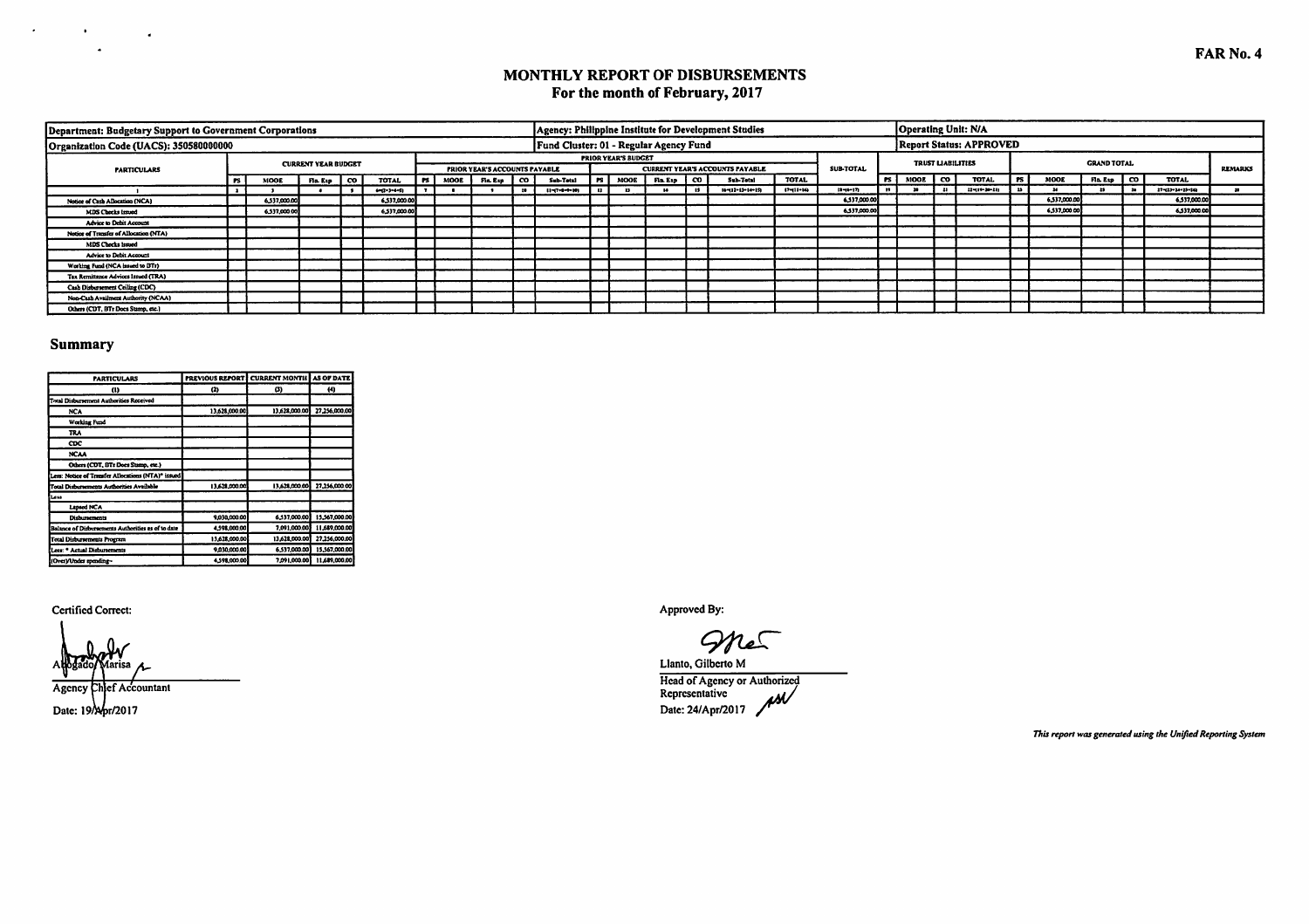## MONTHLY REPORT OF DISBURSEMENTS For the month of February, 2017

| Department: Budgetary Support to Government Corporations |     |              |                            |         |                     |        |             |                                      |                                        |        |                            |          |    | Agency: Philippine Institute for Development Studies |                |                  |           |                          | Operating Unit: N/A            |              |                      |                           |                |
|----------------------------------------------------------|-----|--------------|----------------------------|---------|---------------------|--------|-------------|--------------------------------------|----------------------------------------|--------|----------------------------|----------|----|------------------------------------------------------|----------------|------------------|-----------|--------------------------|--------------------------------|--------------|----------------------|---------------------------|----------------|
| Organization Code (UACS): 350580000000                   |     |              |                            |         |                     |        |             |                                      | Fund Cluster: 01 - Regular Agency Fund |        |                            |          |    |                                                      |                |                  |           |                          | <b>Report Status: APPROVED</b> |              |                      |                           |                |
| <b>PARTICULARS</b>                                       |     |              | <b>CURRENT YEAR BUDGET</b> |         |                     |        |             | <b>PRIOR YEAR'S ACCOUNTS PAYABLE</b> |                                        |        | <b>PRIOR YEAR'S BUDGET</b> |          |    | <b>CURRENT YEAR'S ACCOUNTS PAYABLE</b>               |                | <b>SUB-TOTAL</b> |           | <b>TRUST LIABILITIES</b> |                                |              | <b>GRAND TOTAL</b>   |                           | <b>REMARKS</b> |
|                                                          | PS. | <b>MOOD</b>  | Fla. Exp                   | - 100 L | <b>TOTAL</b>        | l es ' | <b>MOOE</b> | Fia Esp   CO                         | Sub-Total                              | l rs l | <b>MOOE</b>                | Fla. Exp | co | Sub-Total                                            | <b>TOTAL</b>   |                  | PS   MOOL | ൟ                        | TOTAL                          | MOOE         | $F1a E1b$ $\qquad 0$ | <b>TOTAL</b>              |                |
|                                                          |     |              |                            |         | $6 - 2 - 3 - 4 - 5$ |        |             |                                      | $11 - (7 - 6 - 9 - 10)$                |        |                            |          |    | $16 - 11 - 13 - 14 - 151$                            | $17 - 11 - 56$ | 12-06-17         |           |                          | 22-110-20-211                  |              |                      | $17 - 23 - 14 - 25 - 146$ |                |
| Notice of Cath Allocation (NCA)                          |     | 6,537,000.00 |                            |         | 6,537,000.00        |        |             |                                      |                                        |        |                            |          |    |                                                      |                | 6,37,000.00      |           |                          |                                | 6.537,000.00 |                      | 6,537,000.00              |                |
| MDS Checks Isrued                                        |     | 6,537,000.00 |                            |         | 6,537,000.00        |        |             |                                      |                                        |        |                            |          |    |                                                      |                | 6,337,000.00     |           |                          |                                | 6,537,000.00 |                      | 6,537,000.00              |                |
| Advice to Debit Account                                  |     |              |                            |         |                     |        |             |                                      |                                        |        |                            |          |    |                                                      |                |                  |           |                          |                                |              |                      |                           |                |
| Notice of Transfer of Allocation (NTA)                   |     |              |                            |         |                     |        |             |                                      |                                        |        |                            |          |    |                                                      |                |                  |           |                          |                                |              |                      |                           |                |
| MDS Checks issued                                        |     |              |                            |         |                     |        |             |                                      |                                        |        |                            |          |    |                                                      |                |                  |           |                          |                                |              |                      |                           |                |
| Advice to Debit Account                                  |     |              |                            |         |                     |        |             |                                      |                                        |        |                            |          |    |                                                      |                |                  |           |                          |                                |              |                      |                           |                |
| Working Fund (NCA issued to DTr)                         |     |              |                            |         |                     |        |             |                                      |                                        |        |                            |          |    |                                                      |                |                  |           |                          |                                |              |                      |                           |                |
| Tax Remittance Advices Issued (TRA)                      |     |              |                            |         |                     |        |             |                                      |                                        |        |                            |          |    |                                                      |                |                  |           |                          |                                |              |                      |                           |                |
| Cash Disbursement Ceiling (CDC)                          |     |              |                            |         |                     |        |             |                                      |                                        |        |                            |          |    |                                                      |                |                  |           |                          |                                |              |                      |                           |                |
| Non-Cash Availment Authority (NCAA)                      |     |              |                            |         |                     |        |             |                                      |                                        |        |                            |          |    |                                                      |                |                  |           |                          |                                |              |                      |                           |                |
| Others (CDT, BTr Docs Stamp, etc.)                       |     |              |                            |         |                     |        |             |                                      |                                        |        |                            |          |    |                                                      |                |                  |           |                          |                                |              |                      |                           |                |

### **Summary**

 $\label{eq:2.1} \frac{d\mathbf{r}}{dt} = \frac{d\mathbf{r}}{dt} \left( \frac{\partial \mathbf{r}}{dt} \right) = \frac{d\mathbf{r}}{dt}$ 

| <b>PARTICULARS</b>                                 | PREVIOUS REPORT CURRENT MONTH AS OF DATE |               |               |
|----------------------------------------------------|------------------------------------------|---------------|---------------|
| $\omega$                                           | $\bf{a}$                                 | Ø)            | 44)           |
| Total Disbursement Authorities Received            |                                          |               |               |
| <b>NCA</b>                                         | 13.628.000.00                            | 13.628.000.00 | 27,256,000.00 |
| Working Fund                                       |                                          |               |               |
| TRA                                                |                                          |               |               |
| CDC.                                               |                                          |               |               |
| <b>NCAA</b>                                        |                                          |               |               |
| Others (CDT, BTr Does Stamp, etc.)                 |                                          |               |               |
| Less: Notice of Transfer Allocations (NTA)* issued |                                          |               |               |
| Total Disbursements Authorities Available          | 13,628,000.00                            | 13,628,000.00 | 27.256.000.00 |
| Lets                                               |                                          |               |               |
| Laned NCA                                          |                                          |               |               |
| <b>Disturnements</b>                               | 9.030,000.00                             | 6,537,000.00  | 15,567,000.00 |
| Balance of Disbursements Authorities as of to date | 4,598,000,00                             | 7.091,000.00  | 11,689,000.00 |
| <b>Total Disbursements Program</b>                 | 13,628,000.00                            | 13,628,000.00 | 27,256,000.00 |
| Lers: * Actual Disburrements                       | 9.030,000.00                             | 6.537.000.00  | 15.567.000.00 |
| (Over)/Under spending-                             | 4,598,000.00                             | 7.091.000.00  | 11,689,000.00 |

**Certified Correct:** 

Agency Chief Accountant Date: 19/Apr/2017

Approved By:

 $\mathcal P$ 

Llanto, Gilberto M Head of Agency or Authorized<br>Representative<br>Date: 24/Apr/2017

This report was generated using the Unified Reporting System